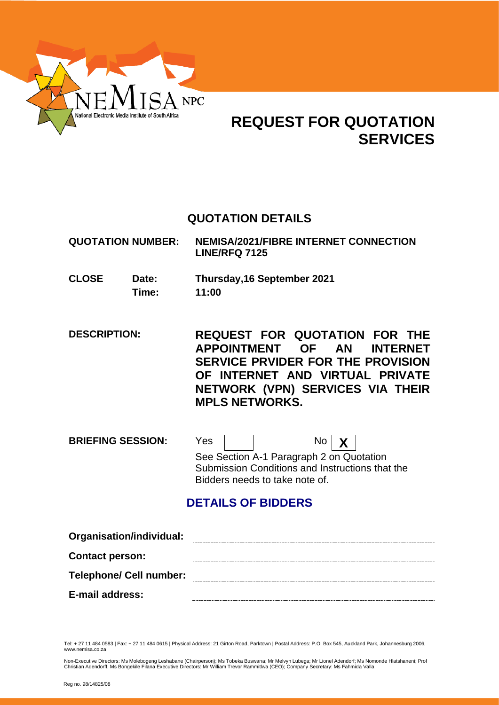

# **REQUEST FOR QUOTATION SERVICES**

# **QUOTATION DETAILS**

**QUOTATION NUMBER: NEMISA/2021/FIBRE INTERNET CONNECTION LINE/RFQ 7125**

**CLOSE Date: Thursday,16 September 2021 Time: 11:00**

**DESCRIPTION: REQUEST FOR QUOTATION FOR THE APPOINTMENT OF AN INTERNET SERVICE PRVIDER FOR THE PROVISION OF INTERNET AND VIRTUAL PRIVATE NETWORK (VPN) SERVICES VIA THEIR MPLS NETWORKS.**

**BRIEFING SESSION:** Yes | | No | **X** See Section A-1 Paragraph 2 on Quotation Submission Conditions and Instructions that the Bidders needs to take note of.

# **DETAILS OF BIDDERS**

| Organisation/individual:       |  |
|--------------------------------|--|
| <b>Contact person:</b>         |  |
| <b>Telephone/ Cell number:</b> |  |
| <b>E-mail address:</b>         |  |

Tel: + 27 11 484 0583 | Fax: + 27 11 484 0615 | Physical Address: 21 Girton Road, Parktown | Postal Address: P.O. Box 545, Auckland Park, Johannesburg 2006, www.nemisa.co.za

Non-Executive Directors: Ms Molebogeng Leshabane (Chairperson); Ms Tobeka Buswana; Mr Melvyn Lubega; Mr Lionel Adendorf; Ms Nomonde Hlatshaneni; Prof<br>Christian Adendorff; Ms Bongekile Filana Executive Directors: Mr William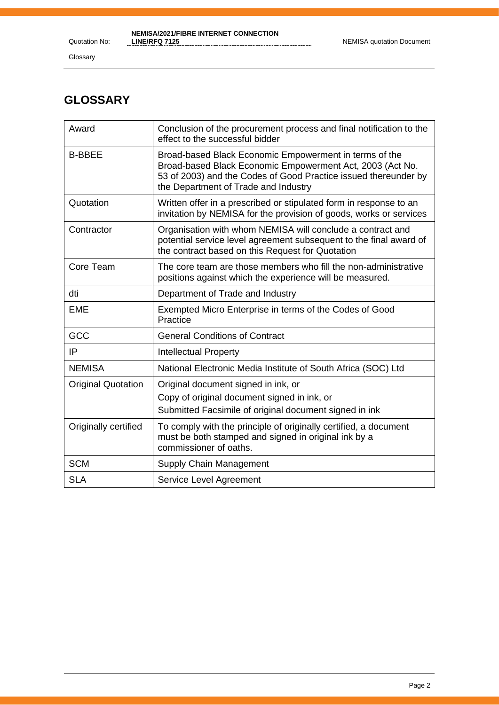Glossary

# **GLOSSARY**

| Award                     | Conclusion of the procurement process and final notification to the<br>effect to the successful bidder                                                                                                                         |
|---------------------------|--------------------------------------------------------------------------------------------------------------------------------------------------------------------------------------------------------------------------------|
| <b>B-BBEE</b>             | Broad-based Black Economic Empowerment in terms of the<br>Broad-based Black Economic Empowerment Act, 2003 (Act No.<br>53 of 2003) and the Codes of Good Practice issued thereunder by<br>the Department of Trade and Industry |
| Quotation                 | Written offer in a prescribed or stipulated form in response to an<br>invitation by NEMISA for the provision of goods, works or services                                                                                       |
| Contractor                | Organisation with whom NEMISA will conclude a contract and<br>potential service level agreement subsequent to the final award of<br>the contract based on this Request for Quotation                                           |
| Core Team                 | The core team are those members who fill the non-administrative<br>positions against which the experience will be measured.                                                                                                    |
| dti                       | Department of Trade and Industry                                                                                                                                                                                               |
| <b>EME</b>                | Exempted Micro Enterprise in terms of the Codes of Good<br>Practice                                                                                                                                                            |
| GCC                       | <b>General Conditions of Contract</b>                                                                                                                                                                                          |
| IP                        | <b>Intellectual Property</b>                                                                                                                                                                                                   |
| <b>NEMISA</b>             | National Electronic Media Institute of South Africa (SOC) Ltd                                                                                                                                                                  |
| <b>Original Quotation</b> | Original document signed in ink, or                                                                                                                                                                                            |
|                           | Copy of original document signed in ink, or                                                                                                                                                                                    |
|                           | Submitted Facsimile of original document signed in ink                                                                                                                                                                         |
| Originally certified      | To comply with the principle of originally certified, a document<br>must be both stamped and signed in original ink by a<br>commissioner of oaths.                                                                             |
| <b>SCM</b>                | Supply Chain Management                                                                                                                                                                                                        |
| <b>SLA</b>                | Service Level Agreement                                                                                                                                                                                                        |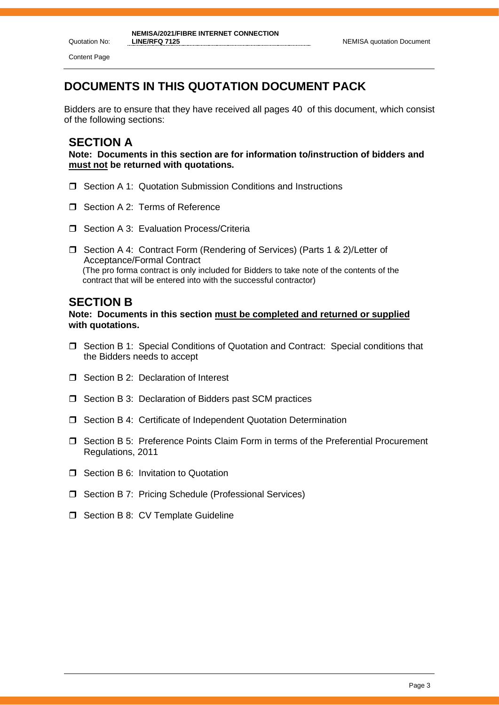Quotation No: Content Page

# **DOCUMENTS IN THIS QUOTATION DOCUMENT PACK**

Bidders are to ensure that they have received all pages 40 of this document, which consist of the following sections:

# **SECTION A**

**Note: Documents in this section are for information to/instruction of bidders and must not be returned with quotations.**

- □ Section A 1: Quotation Submission Conditions and Instructions
- Section A 2: Terms of Reference
- $\Box$  Section A 3: Evaluation Process/Criteria
- □ Section A 4: Contract Form (Rendering of Services) (Parts 1 & 2)/Letter of Acceptance/Formal Contract (The pro forma contract is only included for Bidders to take note of the contents of the contract that will be entered into with the successful contractor)

# **SECTION B**

**Note: Documents in this section must be completed and returned or supplied with quotations.**

- Section B 1: Special Conditions of Quotation and Contract: Special conditions that the Bidders needs to accept
- □ Section B 2: Declaration of Interest
- $\Box$  Section B 3: Declaration of Bidders past SCM practices
- □ Section B 4: Certificate of Independent Quotation Determination
- Section B 5: Preference Points Claim Form in terms of the Preferential Procurement Regulations, 2011
- **T** Section B 6: Invitation to Quotation
- □ Section B 7: Pricing Schedule (Professional Services)
- $\Box$  Section B 8: CV Template Guideline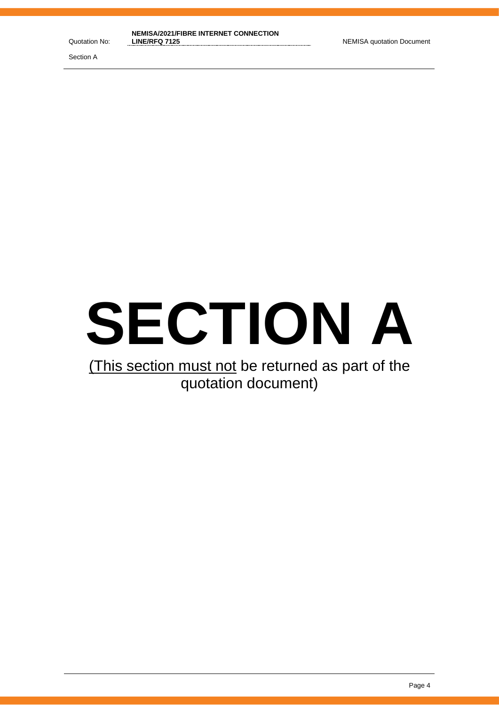Section A



# (This section must not be returned as part of the quotation document)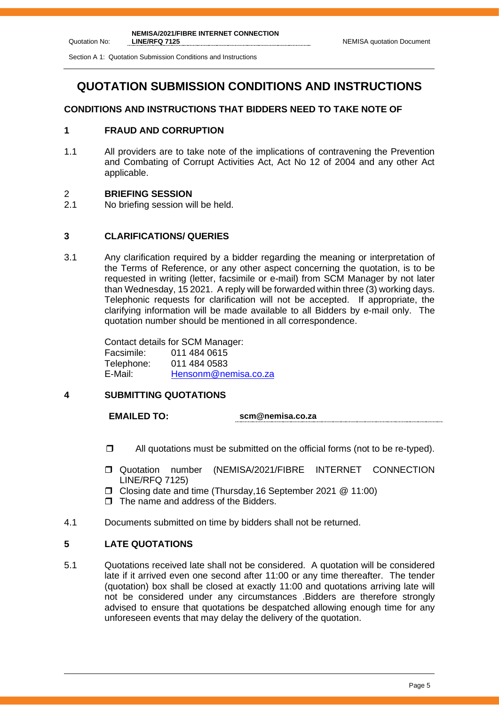Section A 1: Quotation Submission Conditions and Instructions

# **QUOTATION SUBMISSION CONDITIONS AND INSTRUCTIONS**

# **CONDITIONS AND INSTRUCTIONS THAT BIDDERS NEED TO TAKE NOTE OF**

# **1 FRAUD AND CORRUPTION**

1.1 All providers are to take note of the implications of contravening the Prevention and Combating of Corrupt Activities Act, Act No 12 of 2004 and any other Act applicable.

# 2 **BRIEFING SESSION**

2.1 No briefing session will be held.

# **3 CLARIFICATIONS/ QUERIES**

3.1 Any clarification required by a bidder regarding the meaning or interpretation of the Terms of Reference, or any other aspect concerning the quotation, is to be requested in writing (letter, facsimile or e-mail) from SCM Manager by not later than Wednesday, 15 2021. A reply will be forwarded within three (3) working days. Telephonic requests for clarification will not be accepted. If appropriate, the clarifying information will be made available to all Bidders by e-mail only. The quotation number should be mentioned in all correspondence.

> Contact details for SCM Manager: Facsimile: 011 484 0615 Telephone: 011 484 0583 E-Mail: [Hensonm@nemisa.co.za](mailto:Hensonm@nemisa.co.za)

## **4 SUBMITTING QUOTATIONS**

**EMAILED TO: scm@nemisa.co.za**

- $\Box$  All quotations must be submitted on the official forms (not to be re-typed).
- **Quotation** number (NEMISA/2021/FIBRE INTERNET CONNECTION LINE/RFQ 7125)
- Closing date and time (Thursday,16 September 2021 @ 11:00)
- The name and address of the Bidders.
- 4.1 Documents submitted on time by bidders shall not be returned.

## **5 LATE QUOTATIONS**

5.1 Quotations received late shall not be considered. A quotation will be considered late if it arrived even one second after 11:00 or any time thereafter. The tender (quotation) box shall be closed at exactly 11:00 and quotations arriving late will not be considered under any circumstances .Bidders are therefore strongly advised to ensure that quotations be despatched allowing enough time for any unforeseen events that may delay the delivery of the quotation.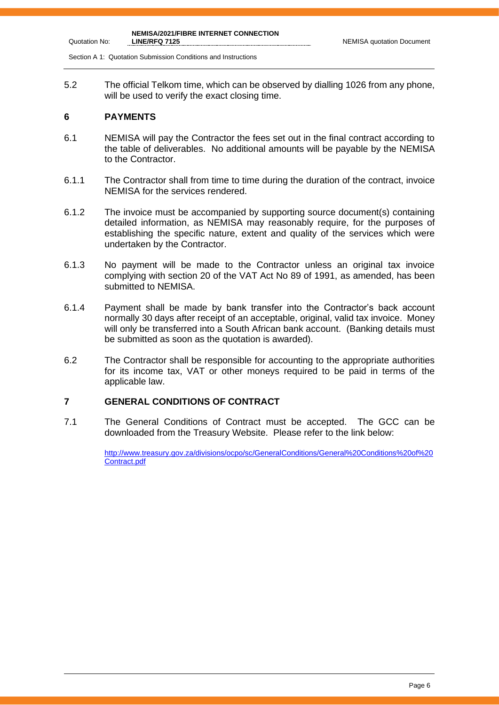Section A 1: Quotation Submission Conditions and Instructions

5.2 The official Telkom time, which can be observed by dialling 1026 from any phone, will be used to verify the exact closing time.

#### **6 PAYMENTS**

Quotation No:

- 6.1 NEMISA will pay the Contractor the fees set out in the final contract according to the table of deliverables. No additional amounts will be payable by the NEMISA to the Contractor.
- 6.1.1 The Contractor shall from time to time during the duration of the contract, invoice NEMISA for the services rendered.
- 6.1.2 The invoice must be accompanied by supporting source document(s) containing detailed information, as NEMISA may reasonably require, for the purposes of establishing the specific nature, extent and quality of the services which were undertaken by the Contractor.
- 6.1.3 No payment will be made to the Contractor unless an original tax invoice complying with section 20 of the VAT Act No 89 of 1991, as amended, has been submitted to NEMISA.
- 6.1.4 Payment shall be made by bank transfer into the Contractor's back account normally 30 days after receipt of an acceptable, original, valid tax invoice. Money will only be transferred into a South African bank account. (Banking details must be submitted as soon as the quotation is awarded).
- 6.2 The Contractor shall be responsible for accounting to the appropriate authorities for its income tax, VAT or other moneys required to be paid in terms of the applicable law.

#### **7 GENERAL CONDITIONS OF CONTRACT**

7.1 The General Conditions of Contract must be accepted. The GCC can be downloaded from the Treasury Website. Please refer to the link below:

> [http://www.treasury.gov.za/divisions/ocpo/sc/GeneralConditions/General%20Conditions%20of%20](http://www.treasury.gov.za/divisions/ocpo/sc/GeneralConditions/General%20Conditions%20of%20Contract.pdf) [Contract.pdf](http://www.treasury.gov.za/divisions/ocpo/sc/GeneralConditions/General%20Conditions%20of%20Contract.pdf)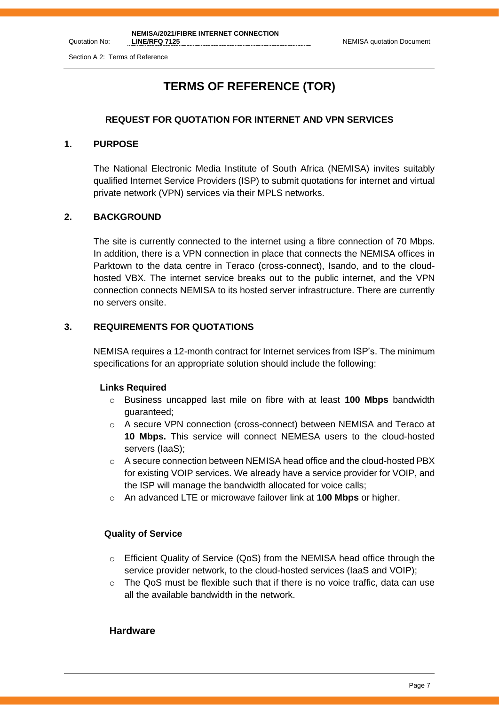# **TERMS OF REFERENCE (TOR)**

#### **REQUEST FOR QUOTATION FOR INTERNET AND VPN SERVICES**

#### **1. PURPOSE**

Quotation No:

The National Electronic Media Institute of South Africa (NEMISA) invites suitably qualified Internet Service Providers (ISP) to submit quotations for internet and virtual private network (VPN) services via their MPLS networks.

#### **2. BACKGROUND**

The site is currently connected to the internet using a fibre connection of 70 Mbps. In addition, there is a VPN connection in place that connects the NEMISA offices in Parktown to the data centre in Teraco (cross-connect), Isando, and to the cloudhosted VBX. The internet service breaks out to the public internet, and the VPN connection connects NEMISA to its hosted server infrastructure. There are currently no servers onsite.

#### **3. REQUIREMENTS FOR QUOTATIONS**

NEMISA requires a 12-month contract for Internet services from ISP's. The minimum specifications for an appropriate solution should include the following:

#### **Links Required**

- o Business uncapped last mile on fibre with at least **100 Mbps** bandwidth guaranteed;
- o A secure VPN connection (cross-connect) between NEMISA and Teraco at **10 Mbps.** This service will connect NEMESA users to the cloud-hosted servers (IaaS);
- o A secure connection between NEMISA head office and the cloud-hosted PBX for existing VOIP services. We already have a service provider for VOIP, and the ISP will manage the bandwidth allocated for voice calls;
- o An advanced LTE or microwave failover link at **100 Mbps** or higher.

#### **Quality of Service**

- o Efficient Quality of Service (QoS) from the NEMISA head office through the service provider network, to the cloud-hosted services (IaaS and VOIP);
- $\circ$  The QoS must be flexible such that if there is no voice traffic, data can use all the available bandwidth in the network.

#### **Hardware**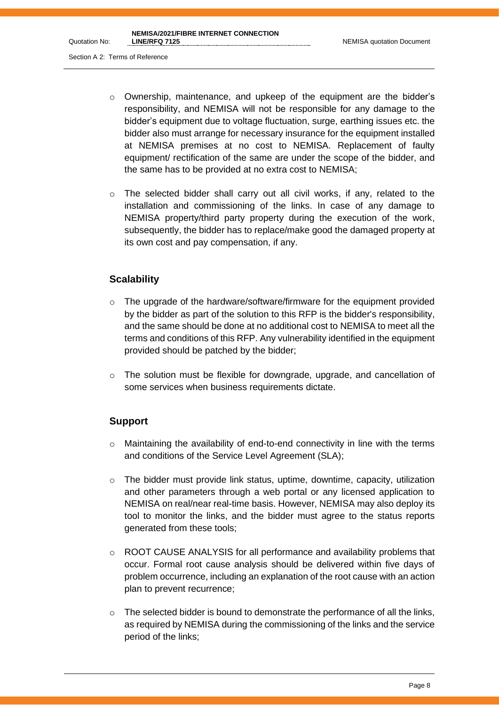- $\circ$  Ownership, maintenance, and upkeep of the equipment are the bidder's responsibility, and NEMISA will not be responsible for any damage to the bidder's equipment due to voltage fluctuation, surge, earthing issues etc. the bidder also must arrange for necessary insurance for the equipment installed at NEMISA premises at no cost to NEMISA. Replacement of faulty equipment/ rectification of the same are under the scope of the bidder, and the same has to be provided at no extra cost to NEMISA;
- $\circ$  The selected bidder shall carry out all civil works, if any, related to the installation and commissioning of the links. In case of any damage to NEMISA property/third party property during the execution of the work, subsequently, the bidder has to replace/make good the damaged property at its own cost and pay compensation, if any.

# **Scalability**

- $\circ$  The upgrade of the hardware/software/firmware for the equipment provided by the bidder as part of the solution to this RFP is the bidder's responsibility, and the same should be done at no additional cost to NEMISA to meet all the terms and conditions of this RFP. Any vulnerability identified in the equipment provided should be patched by the bidder;
- o The solution must be flexible for downgrade, upgrade, and cancellation of some services when business requirements dictate.

# **Support**

- o Maintaining the availability of end-to-end connectivity in line with the terms and conditions of the Service Level Agreement (SLA);
- $\circ$  The bidder must provide link status, uptime, downtime, capacity, utilization and other parameters through a web portal or any licensed application to NEMISA on real/near real-time basis. However, NEMISA may also deploy its tool to monitor the links, and the bidder must agree to the status reports generated from these tools;
- $\circ$  ROOT CAUSE ANALYSIS for all performance and availability problems that occur. Formal root cause analysis should be delivered within five days of problem occurrence, including an explanation of the root cause with an action plan to prevent recurrence;
- $\circ$  The selected bidder is bound to demonstrate the performance of all the links, as required by NEMISA during the commissioning of the links and the service period of the links;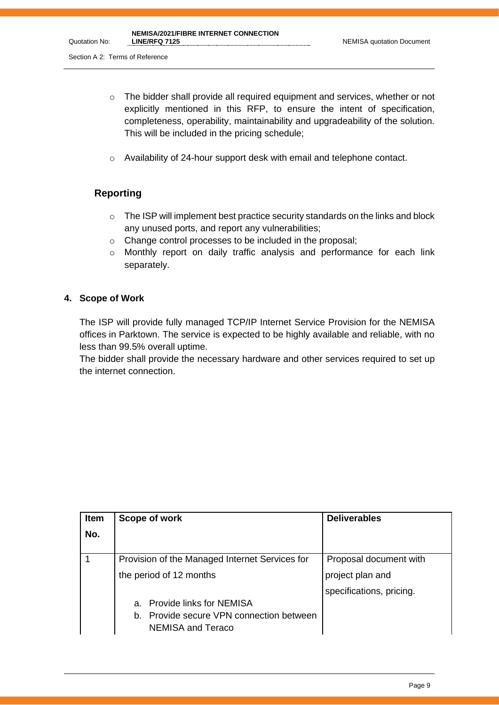- o The bidder shall provide all required equipment and services, whether or not explicitly mentioned in this RFP, to ensure the intent of specification, completeness, operability, maintainability and upgradeability of the solution. This will be included in the pricing schedule;
- o Availability of 24-hour support desk with email and telephone contact.

# **Reporting**

- $\circ$  The ISP will implement best practice security standards on the links and block any unused ports, and report any vulnerabilities;
- o Change control processes to be included in the proposal;
- o Monthly report on daily traffic analysis and performance for each link separately.

#### **4. Scope of Work**

The ISP will provide fully managed TCP/IP Internet Service Provision for the NEMISA offices in Parktown. The service is expected to be highly available and reliable, with no less than 99.5% overall uptime.

The bidder shall provide the necessary hardware and other services required to set up the internet connection.

| <b>Item</b> | Scope of work                                                 | <b>Deliverables</b>      |
|-------------|---------------------------------------------------------------|--------------------------|
| No.         |                                                               |                          |
|             | Provision of the Managed Internet Services for                | Proposal document with   |
|             | the period of 12 months                                       | project plan and         |
|             |                                                               | specifications, pricing. |
|             | a. Provide links for NEMISA                                   |                          |
|             | b. Provide secure VPN connection between<br>NEMISA and Teraco |                          |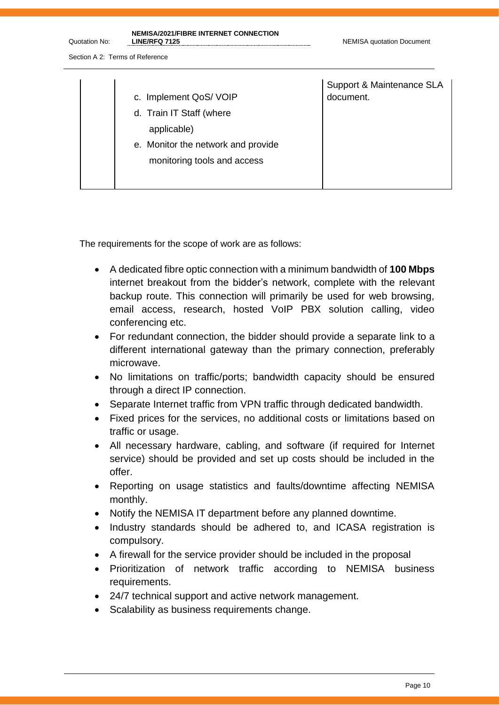Quotation No:

| c. Implement QoS/VOIP<br>d. Train IT Staff (where<br>applicable)<br>e. Monitor the network and provide<br>monitoring tools and access | Support & Maintenance SLA<br>document. |
|---------------------------------------------------------------------------------------------------------------------------------------|----------------------------------------|
|                                                                                                                                       |                                        |

The requirements for the scope of work are as follows:

- A dedicated fibre optic connection with a minimum bandwidth of **100 Mbps** internet breakout from the bidder's network, complete with the relevant backup route. This connection will primarily be used for web browsing, email access, research, hosted VoIP PBX solution calling, video conferencing etc.
- For redundant connection, the bidder should provide a separate link to a different international gateway than the primary connection, preferably microwave.
- No limitations on traffic/ports; bandwidth capacity should be ensured through a direct IP connection.
- Separate Internet traffic from VPN traffic through dedicated bandwidth.
- Fixed prices for the services, no additional costs or limitations based on traffic or usage.
- All necessary hardware, cabling, and software (if required for Internet service) should be provided and set up costs should be included in the offer.
- Reporting on usage statistics and faults/downtime affecting NEMISA monthly.
- Notify the NEMISA IT department before any planned downtime.
- Industry standards should be adhered to, and ICASA registration is compulsory.
- A firewall for the service provider should be included in the proposal
- Prioritization of network traffic according to NEMISA business requirements.
- 24/7 technical support and active network management.
- Scalability as business requirements change.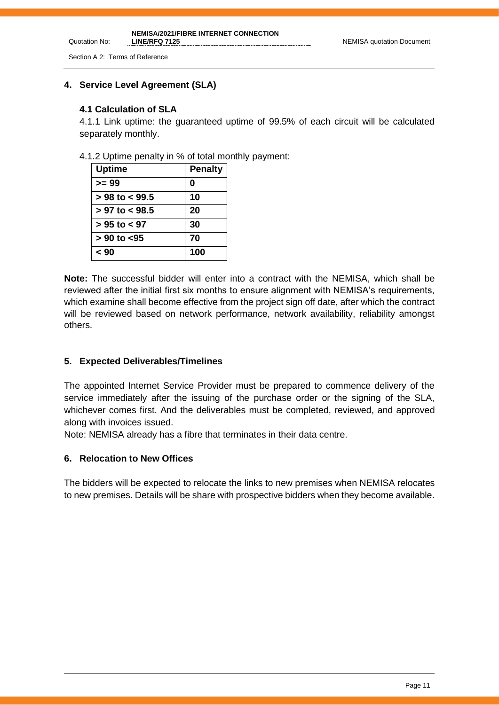Quotation No:

## **4. Service Level Agreement (SLA)**

#### **4.1 Calculation of SLA**

4.1.1 Link uptime: the guaranteed uptime of 99.5% of each circuit will be calculated separately monthly.

4.1.2 Uptime penalty in % of total monthly payment:

| <b>Uptime</b>      | <b>Penalty</b> |
|--------------------|----------------|
| >= 99              |                |
| $> 98$ to $< 99.5$ | 10             |
| $> 97$ to $< 98.5$ | 20             |
| $> 95$ to $< 97$   | 30             |
| $> 90$ to $< 95$   | 70             |
| 90 >               | 100            |

**Note:** The successful bidder will enter into a contract with the NEMISA, which shall be reviewed after the initial first six months to ensure alignment with NEMISA's requirements, which examine shall become effective from the project sign off date, after which the contract will be reviewed based on network performance, network availability, reliability amongst others.

## **5. Expected Deliverables/Timelines**

The appointed Internet Service Provider must be prepared to commence delivery of the service immediately after the issuing of the purchase order or the signing of the SLA, whichever comes first. And the deliverables must be completed, reviewed, and approved along with invoices issued.

Note: NEMISA already has a fibre that terminates in their data centre.

#### **6. Relocation to New Offices**

The bidders will be expected to relocate the links to new premises when NEMISA relocates to new premises. Details will be share with prospective bidders when they become available.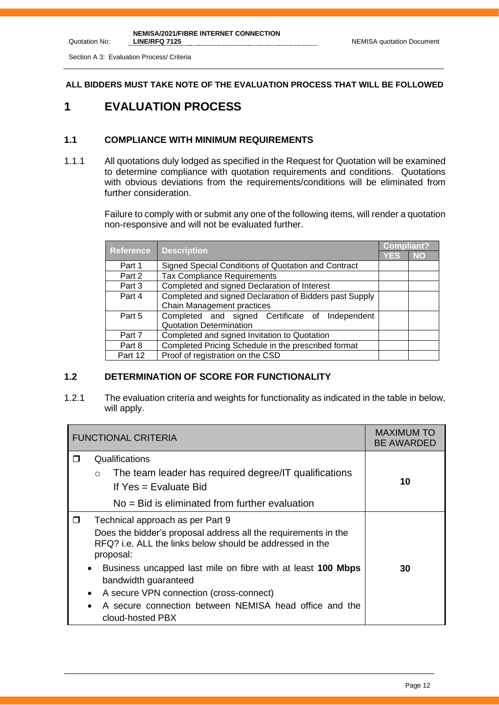Section A 3: Evaluation Process/ Criteria

Quotation No:

#### **ALL BIDDERS MUST TAKE NOTE OF THE EVALUATION PROCESS THAT WILL BE FOLLOWED**

# **1 EVALUATION PROCESS**

#### **1.1 COMPLIANCE WITH MINIMUM REQUIREMENTS**

1.1.1 All quotations duly lodged as specified in the Request for Quotation will be examined to determine compliance with quotation requirements and conditions. Quotations with obvious deviations from the requirements/conditions will be eliminated from further consideration.

> Failure to comply with or submit any one of the following items, will render a quotation non-responsive and will not be evaluated further.

| <b>Reference</b> |                                                         |     | <b>Compliant?</b> |
|------------------|---------------------------------------------------------|-----|-------------------|
|                  | <b>Description</b>                                      | YES | <b>NO</b>         |
| Part 1           | Signed Special Conditions of Quotation and Contract     |     |                   |
| Part 2           | Tax Compliance Requirements                             |     |                   |
| Part 3           | Completed and signed Declaration of Interest            |     |                   |
| Part 4           | Completed and signed Declaration of Bidders past Supply |     |                   |
|                  | Chain Management practices                              |     |                   |
| Part 5           | Completed and signed Certificate of Independent         |     |                   |
|                  | <b>Quotation Determination</b>                          |     |                   |
| Part 7           | Completed and signed Invitation to Quotation            |     |                   |
| Part 8           | Completed Pricing Schedule in the prescribed format     |     |                   |
| Part 12          | Proof of registration on the CSD                        |     |                   |

## **1.2 DETERMINATION OF SCORE FOR FUNCTIONALITY**

1.2.1 The evaluation criteria and weights for functionality as indicated in the table in below, will apply.

| <b>FUNCTIONAL CRITERIA</b> |                                                                                                                                                                                                                                                                                                                                                                                                                            | <b>MAXIMUM TO</b><br><b>BE AWARDED</b> |
|----------------------------|----------------------------------------------------------------------------------------------------------------------------------------------------------------------------------------------------------------------------------------------------------------------------------------------------------------------------------------------------------------------------------------------------------------------------|----------------------------------------|
| ⊓                          | Qualifications<br>The team leader has required degree/IT qualifications<br>$\circ$<br>If $Yes = Evaluate Bid$<br>$No = Bid$ is eliminated from further evaluation                                                                                                                                                                                                                                                          | 10                                     |
| $\Box$                     | Technical approach as per Part 9<br>Does the bidder's proposal address all the requirements in the<br>RFQ? i.e. ALL the links below should be addressed in the<br>proposal:<br>Business uncapped last mile on fibre with at least 100 Mbps<br>$\bullet$<br>bandwidth guaranteed<br>A secure VPN connection (cross-connect)<br>٠<br>A secure connection between NEMISA head office and the<br>$\bullet$<br>cloud-hosted PBX | 30                                     |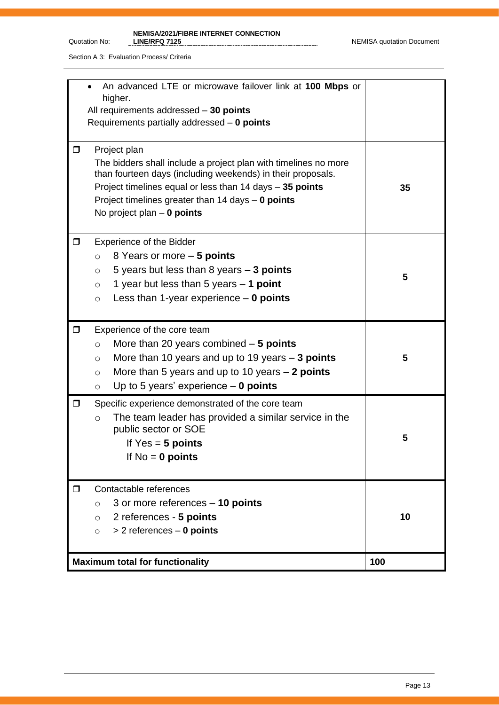Quotation No:

#### **NEMISA/2021/FIBRE INTERNET CONNECTION**

Section A 3: Evaluation Process/ Criteria

| An advanced LTE or microwave failover link at 100 Mbps or<br>higher.<br>All requirements addressed - 30 points<br>Requirements partially addressed $-$ 0 points                                                                                                                                        |     |
|--------------------------------------------------------------------------------------------------------------------------------------------------------------------------------------------------------------------------------------------------------------------------------------------------------|-----|
| Project plan<br>0<br>The bidders shall include a project plan with timelines no more<br>than fourteen days (including weekends) in their proposals.<br>Project timelines equal or less than 14 days - 35 points<br>Project timelines greater than 14 days $-$ 0 points<br>No project plan $-$ 0 points | 35  |
| <b>Experience of the Bidder</b><br>□<br>8 Years or more – 5 points<br>$\circ$<br>5 years but less than 8 years $-3$ points<br>$\circ$<br>1 year but less than 5 years $-$ 1 point<br>$\circ$<br>Less than 1-year experience $-$ 0 points<br>$\circ$                                                    | 5   |
| Experience of the core team<br>0<br>More than 20 years combined $-5$ points<br>$\circ$<br>More than 10 years and up to 19 years $-$ 3 points<br>$\circ$<br>More than 5 years and up to 10 years $-2$ points<br>$\circ$<br>Up to 5 years' experience $-$ 0 points<br>$\circ$                            | 5   |
| Specific experience demonstrated of the core team<br>0<br>The team leader has provided a similar service in the<br>$\circ$<br>public sector or SOE<br>If $Yes = 5 points$<br>If $No = 0$ points                                                                                                        | 5   |
| Contactable references<br>□<br>3 or more references - 10 points<br>$\circ$<br>2 references - 5 points<br>$\circ$<br>$> 2$ references $-$ 0 points<br>$\circ$                                                                                                                                           | 10  |
| <b>Maximum total for functionality</b>                                                                                                                                                                                                                                                                 | 100 |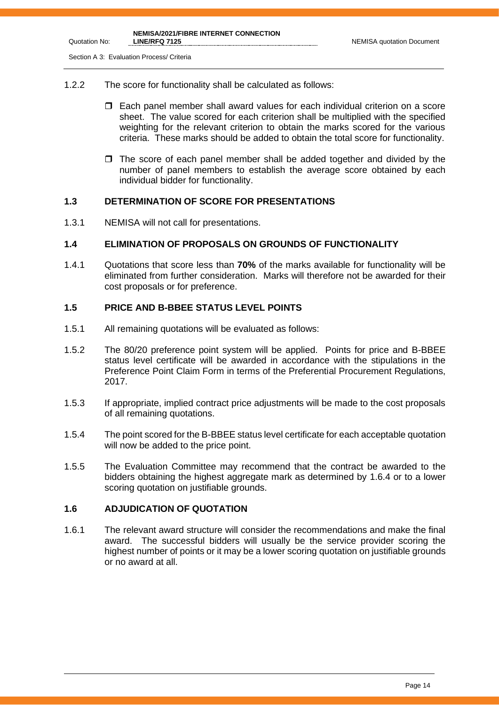Section A 3: Evaluation Process/ Criteria

- 1.2.2 The score for functionality shall be calculated as follows:
	- Each panel member shall award values for each individual criterion on a score sheet. The value scored for each criterion shall be multiplied with the specified weighting for the relevant criterion to obtain the marks scored for the various criteria. These marks should be added to obtain the total score for functionality.
	- $\Box$  The score of each panel member shall be added together and divided by the number of panel members to establish the average score obtained by each individual bidder for functionality.

#### **1.3 DETERMINATION OF SCORE FOR PRESENTATIONS**

1.3.1 NEMISA will not call for presentations.

#### **1.4 ELIMINATION OF PROPOSALS ON GROUNDS OF FUNCTIONALITY**

1.4.1 Quotations that score less than **70%** of the marks available for functionality will be eliminated from further consideration. Marks will therefore not be awarded for their cost proposals or for preference.

# **1.5 PRICE AND B-BBEE STATUS LEVEL POINTS**

- 1.5.1 All remaining quotations will be evaluated as follows:
- 1.5.2 The 80/20 preference point system will be applied. Points for price and B-BBEE status level certificate will be awarded in accordance with the stipulations in the Preference Point Claim Form in terms of the Preferential Procurement Regulations, 2017.
- 1.5.3 If appropriate, implied contract price adjustments will be made to the cost proposals of all remaining quotations.
- 1.5.4 The point scored for the B-BBEE status level certificate for each acceptable quotation will now be added to the price point.
- 1.5.5 The Evaluation Committee may recommend that the contract be awarded to the bidders obtaining the highest aggregate mark as determined by 1.6.4 or to a lower scoring quotation on justifiable grounds.

## **1.6 ADJUDICATION OF QUOTATION**

1.6.1 The relevant award structure will consider the recommendations and make the final award. The successful bidders will usually be the service provider scoring the highest number of points or it may be a lower scoring quotation on justifiable grounds or no award at all.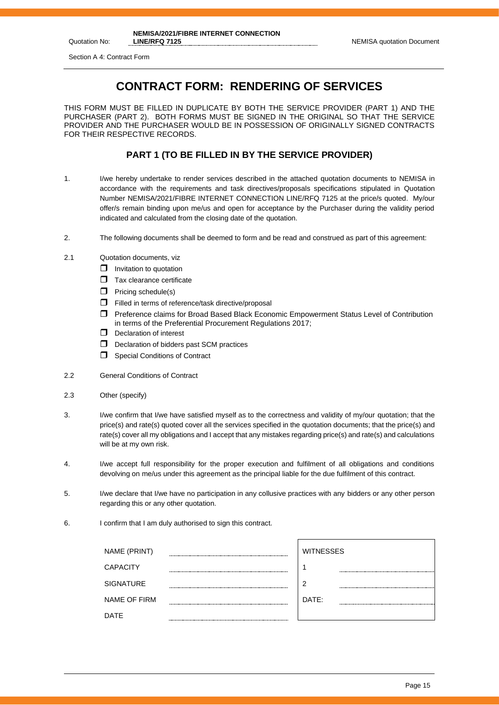Quotation No:

# **CONTRACT FORM: RENDERING OF SERVICES**

THIS FORM MUST BE FILLED IN DUPLICATE BY BOTH THE SERVICE PROVIDER (PART 1) AND THE PURCHASER (PART 2). BOTH FORMS MUST BE SIGNED IN THE ORIGINAL SO THAT THE SERVICE PROVIDER AND THE PURCHASER WOULD BE IN POSSESSION OF ORIGINALLY SIGNED CONTRACTS FOR THEIR RESPECTIVE RECORDS.

#### **PART 1 (TO BE FILLED IN BY THE SERVICE PROVIDER)**

- 1. I/we hereby undertake to render services described in the attached quotation documents to NEMISA in accordance with the requirements and task directives/proposals specifications stipulated in Quotation Number NEMISA/2021/FIBRE INTERNET CONNECTION LINE/RFQ 7125 at the price/s quoted. My/our offer/s remain binding upon me/us and open for acceptance by the Purchaser during the validity period indicated and calculated from the closing date of the quotation.
- 2. The following documents shall be deemed to form and be read and construed as part of this agreement:
- 2.1 Quotation documents, viz
	- $\Box$  Invitation to quotation
	- $\Box$  Tax clearance certificate
	- $\Box$  Pricing schedule(s)
	- $\Box$  Filled in terms of reference/task directive/proposal
	- Preference claims for Broad Based Black Economic Empowerment Status Level of Contribution in terms of the Preferential Procurement Regulations 2017;
	- D Declaration of interest
	- D Declaration of bidders past SCM practices
	- Special Conditions of Contract
- 2.2 General Conditions of Contract
- 2.3 Other (specify)
- 3. I/we confirm that I/we have satisfied myself as to the correctness and validity of my/our quotation; that the price(s) and rate(s) quoted cover all the services specified in the quotation documents; that the price(s) and rate(s) cover all my obligations and I accept that any mistakes regarding price(s) and rate(s) and calculations will be at my own risk.
- 4. I/we accept full responsibility for the proper execution and fulfilment of all obligations and conditions devolving on me/us under this agreement as the principal liable for the due fulfilment of this contract.
- 5. I/we declare that I/we have no participation in any collusive practices with any bidders or any other person regarding this or any other quotation.
- 6. I confirm that I am duly authorised to sign this contract.

| NAME (PRINT)        | <b>WITNESSES</b> |
|---------------------|------------------|
| <b>CAPACITY</b>     |                  |
| <b>SIGNATURE</b>    | ◠                |
| <b>NAME OF FIRM</b> | DATE:            |
| <b>DATE</b>         |                  |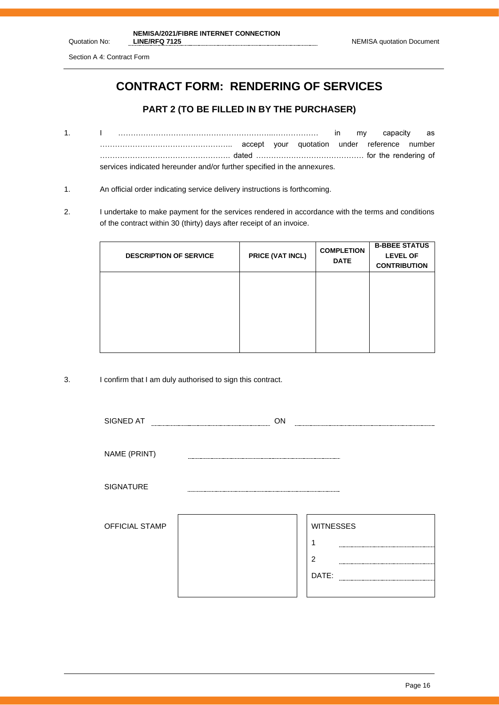Section A 4: Contract Form

Quotation No:

# **CONTRACT FORM: RENDERING OF SERVICES**

## **PART 2 (TO BE FILLED IN BY THE PURCHASER)**

- 1. I ……………………………………………………..……………… in my capacity as …………………………………………….. accept your quotation under reference number ……………………………………………. dated ……………………………………. for the rendering of services indicated hereunder and/or further specified in the annexures.
- 1. An official order indicating service delivery instructions is forthcoming.
- 2. I undertake to make payment for the services rendered in accordance with the terms and conditions of the contract within 30 (thirty) days after receipt of an invoice.

| <b>DESCRIPTION OF SERVICE</b> | PRICE (VAT INCL) | <b>COMPLETION</b><br><b>DATE</b> | <b>B-BBEE STATUS</b><br><b>LEVEL OF</b><br><b>CONTRIBUTION</b> |
|-------------------------------|------------------|----------------------------------|----------------------------------------------------------------|
|                               |                  |                                  |                                                                |
|                               |                  |                                  |                                                                |

3. I confirm that I am duly authorised to sign this contract.

| SIGNED AT        | ON |                  |
|------------------|----|------------------|
|                  |    |                  |
| NAME (PRINT)     |    |                  |
|                  |    |                  |
| <b>SIGNATURE</b> |    |                  |
|                  |    |                  |
| OFFICIAL STAMP   |    | <b>WITNESSES</b> |
|                  |    |                  |
|                  |    | $\overline{2}$   |
|                  |    | DATE:            |
|                  |    |                  |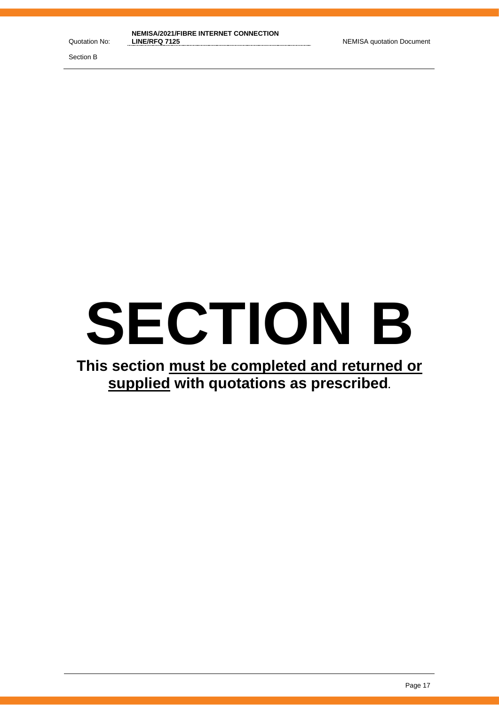Section B

# **SECTION B**

# **This section must be completed and returned or supplied with quotations as prescribed.**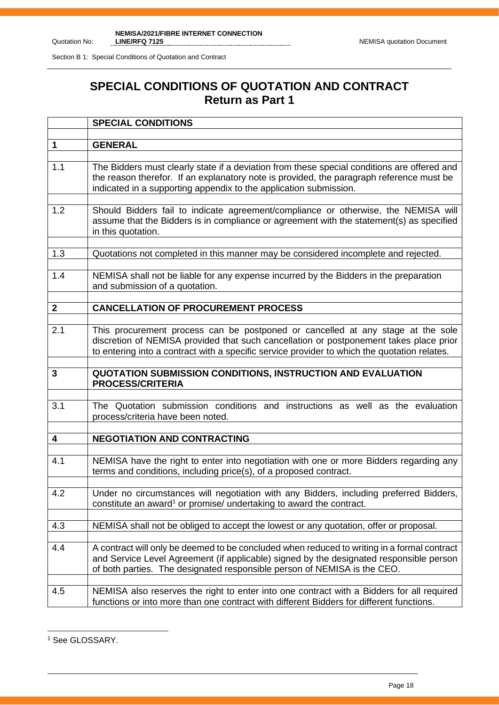Section B 1: Special Conditions of Quotation and Contract

# **SPECIAL CONDITIONS OF QUOTATION AND CONTRACT Return as Part 1**

|              | <b>SPECIAL CONDITIONS</b>                                                                                                                                                                                                                                                 |
|--------------|---------------------------------------------------------------------------------------------------------------------------------------------------------------------------------------------------------------------------------------------------------------------------|
| $\mathbf 1$  | <b>GENERAL</b>                                                                                                                                                                                                                                                            |
|              |                                                                                                                                                                                                                                                                           |
| 1.1          | The Bidders must clearly state if a deviation from these special conditions are offered and<br>the reason therefor. If an explanatory note is provided, the paragraph reference must be<br>indicated in a supporting appendix to the application submission.              |
| 1.2          | Should Bidders fail to indicate agreement/compliance or otherwise, the NEMISA will<br>assume that the Bidders is in compliance or agreement with the statement(s) as specified<br>in this quotation.                                                                      |
| 1.3          | Quotations not completed in this manner may be considered incomplete and rejected.                                                                                                                                                                                        |
| 1.4          | NEMISA shall not be liable for any expense incurred by the Bidders in the preparation<br>and submission of a quotation.                                                                                                                                                   |
| $\mathbf{2}$ | <b>CANCELLATION OF PROCUREMENT PROCESS</b>                                                                                                                                                                                                                                |
|              |                                                                                                                                                                                                                                                                           |
| 2.1          | This procurement process can be postponed or cancelled at any stage at the sole<br>discretion of NEMISA provided that such cancellation or postponement takes place prior<br>to entering into a contract with a specific service provider to which the quotation relates. |
|              |                                                                                                                                                                                                                                                                           |
| 3            | QUOTATION SUBMISSION CONDITIONS, INSTRUCTION AND EVALUATION<br><b>PROCESS/CRITERIA</b>                                                                                                                                                                                    |
| 3.1          | The Quotation submission conditions and instructions as well as the evaluation<br>process/criteria have been noted.                                                                                                                                                       |
| 4            | <b>NEGOTIATION AND CONTRACTING</b>                                                                                                                                                                                                                                        |
|              |                                                                                                                                                                                                                                                                           |
| 4.1          | NEMISA have the right to enter into negotiation with one or more Bidders regarding any<br>terms and conditions, including price(s), of a proposed contract.                                                                                                               |
| 4.2          | Under no circumstances will negotiation with any Bidders, including preferred Bidders,<br>constitute an award <sup>1</sup> or promise/ undertaking to award the contract.                                                                                                 |
| 4.3          | NEMISA shall not be obliged to accept the lowest or any quotation, offer or proposal.                                                                                                                                                                                     |
| 4.4          | A contract will only be deemed to be concluded when reduced to writing in a formal contract<br>and Service Level Agreement (if applicable) signed by the designated responsible person<br>of both parties. The designated responsible person of NEMISA is the CEO.        |
| 4.5          | NEMISA also reserves the right to enter into one contract with a Bidders for all required<br>functions or into more than one contract with different Bidders for different functions.                                                                                     |

<sup>&</sup>lt;sup>1</sup> See GLOSSARY.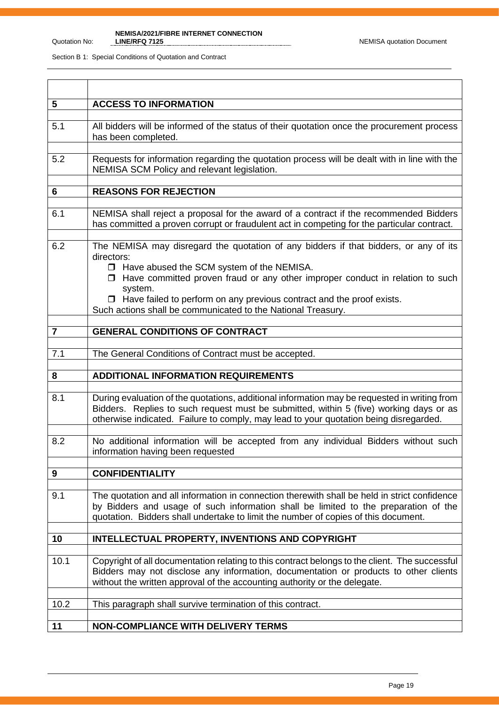#### Quotation No:

**NEMISA/2021/FIBRE INTERNET CONNECTION LINE/RFQ 7125** NEMISA quotation Document

| 5              | <b>ACCESS TO INFORMATION</b>                                                                                                                                                                                                                                                                                                                                                                         |
|----------------|------------------------------------------------------------------------------------------------------------------------------------------------------------------------------------------------------------------------------------------------------------------------------------------------------------------------------------------------------------------------------------------------------|
| 5.1            | All bidders will be informed of the status of their quotation once the procurement process<br>has been completed.                                                                                                                                                                                                                                                                                    |
| 5.2            | Requests for information regarding the quotation process will be dealt with in line with the<br>NEMISA SCM Policy and relevant legislation.                                                                                                                                                                                                                                                          |
| $6\phantom{1}$ | <b>REASONS FOR REJECTION</b>                                                                                                                                                                                                                                                                                                                                                                         |
| 6.1            | NEMISA shall reject a proposal for the award of a contract if the recommended Bidders<br>has committed a proven corrupt or fraudulent act in competing for the particular contract.                                                                                                                                                                                                                  |
| 6.2            | The NEMISA may disregard the quotation of any bidders if that bidders, or any of its<br>directors:<br>□ Have abused the SCM system of the NEMISA.<br>$\Box$ Have committed proven fraud or any other improper conduct in relation to such<br>system.<br>$\Box$ Have failed to perform on any previous contract and the proof exists.<br>Such actions shall be communicated to the National Treasury. |
| $\overline{7}$ | <b>GENERAL CONDITIONS OF CONTRACT</b>                                                                                                                                                                                                                                                                                                                                                                |
|                |                                                                                                                                                                                                                                                                                                                                                                                                      |
| 7.1            | The General Conditions of Contract must be accepted.                                                                                                                                                                                                                                                                                                                                                 |
| 8              | <b>ADDITIONAL INFORMATION REQUIREMENTS</b>                                                                                                                                                                                                                                                                                                                                                           |
| 8.1            | During evaluation of the quotations, additional information may be requested in writing from<br>Bidders. Replies to such request must be submitted, within 5 (five) working days or as<br>otherwise indicated. Failure to comply, may lead to your quotation being disregarded.                                                                                                                      |
| 8.2            | No additional information will be accepted from any individual Bidders without such<br>information having been requested                                                                                                                                                                                                                                                                             |
| 9              | <b>CONFIDENTIALITY</b>                                                                                                                                                                                                                                                                                                                                                                               |
| 9.1            | The quotation and all information in connection therewith shall be held in strict confidence<br>by Bidders and usage of such information shall be limited to the preparation of the<br>quotation. Bidders shall undertake to limit the number of copies of this document.                                                                                                                            |
| 10             | INTELLECTUAL PROPERTY, INVENTIONS AND COPYRIGHT                                                                                                                                                                                                                                                                                                                                                      |
| 10.1           | Copyright of all documentation relating to this contract belongs to the client. The successful<br>Bidders may not disclose any information, documentation or products to other clients<br>without the written approval of the accounting authority or the delegate.                                                                                                                                  |
| 10.2           | This paragraph shall survive termination of this contract.                                                                                                                                                                                                                                                                                                                                           |
| 11             | <b>NON-COMPLIANCE WITH DELIVERY TERMS</b>                                                                                                                                                                                                                                                                                                                                                            |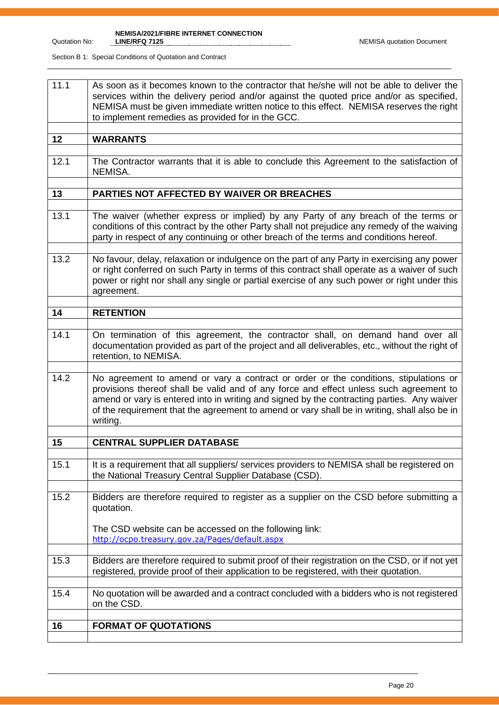| 11.1 | As soon as it becomes known to the contractor that he/she will not be able to deliver the<br>services within the delivery period and/or against the quoted price and/or as specified,<br>NEMISA must be given immediate written notice to this effect. NEMISA reserves the right<br>to implement remedies as provided for in the GCC.                                                    |
|------|------------------------------------------------------------------------------------------------------------------------------------------------------------------------------------------------------------------------------------------------------------------------------------------------------------------------------------------------------------------------------------------|
| 12   | <b>WARRANTS</b>                                                                                                                                                                                                                                                                                                                                                                          |
| 12.1 | The Contractor warrants that it is able to conclude this Agreement to the satisfaction of<br>NEMISA.                                                                                                                                                                                                                                                                                     |
| 13   | PARTIES NOT AFFECTED BY WAIVER OR BREACHES                                                                                                                                                                                                                                                                                                                                               |
|      |                                                                                                                                                                                                                                                                                                                                                                                          |
| 13.1 | The waiver (whether express or implied) by any Party of any breach of the terms or<br>conditions of this contract by the other Party shall not prejudice any remedy of the waiving<br>party in respect of any continuing or other breach of the terms and conditions hereof.                                                                                                             |
| 13.2 | No favour, delay, relaxation or indulgence on the part of any Party in exercising any power<br>or right conferred on such Party in terms of this contract shall operate as a waiver of such<br>power or right nor shall any single or partial exercise of any such power or right under this<br>agreement.                                                                               |
| 14   | <b>RETENTION</b>                                                                                                                                                                                                                                                                                                                                                                         |
|      |                                                                                                                                                                                                                                                                                                                                                                                          |
| 14.1 | On termination of this agreement, the contractor shall, on demand hand over all<br>documentation provided as part of the project and all deliverables, etc., without the right of<br>retention, to NEMISA.                                                                                                                                                                               |
| 14.2 | No agreement to amend or vary a contract or order or the conditions, stipulations or<br>provisions thereof shall be valid and of any force and effect unless such agreement to<br>amend or vary is entered into in writing and signed by the contracting parties. Any waiver<br>of the requirement that the agreement to amend or vary shall be in writing, shall also be in<br>writing. |
| 15   | <b>CENTRAL SUPPLIER DATABASE</b>                                                                                                                                                                                                                                                                                                                                                         |
|      |                                                                                                                                                                                                                                                                                                                                                                                          |
| 15.1 | It is a requirement that all suppliers/ services providers to NEMISA shall be registered on<br>the National Treasury Central Supplier Database (CSD).                                                                                                                                                                                                                                    |
| 15.2 | Bidders are therefore required to register as a supplier on the CSD before submitting a<br>quotation.<br>The CSD website can be accessed on the following link:<br>http://ocpo.treasury.gov.za/Pages/default.aspx                                                                                                                                                                        |
|      |                                                                                                                                                                                                                                                                                                                                                                                          |
| 15.3 | Bidders are therefore required to submit proof of their registration on the CSD, or if not yet<br>registered, provide proof of their application to be registered, with their quotation.                                                                                                                                                                                                 |
| 15.4 | No quotation will be awarded and a contract concluded with a bidders who is not registered<br>on the CSD.                                                                                                                                                                                                                                                                                |
|      | <b>FORMAT OF QUOTATIONS</b>                                                                                                                                                                                                                                                                                                                                                              |
| 16   |                                                                                                                                                                                                                                                                                                                                                                                          |
|      |                                                                                                                                                                                                                                                                                                                                                                                          |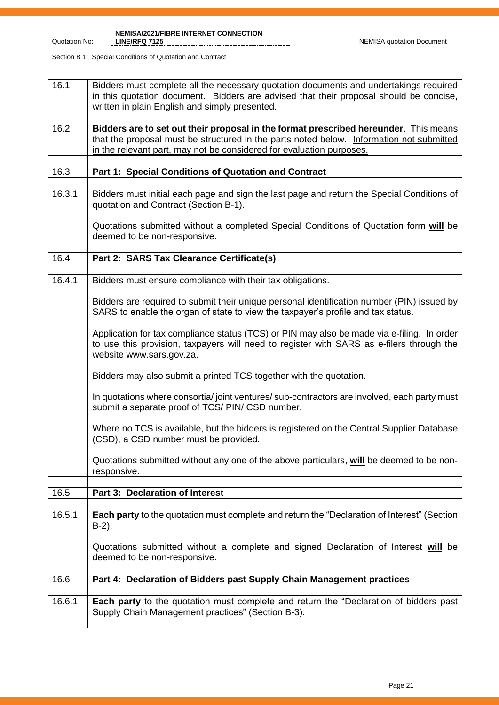| 16.1   | Bidders must complete all the necessary quotation documents and undertakings required<br>in this quotation document. Bidders are advised that their proposal should be concise,<br>written in plain English and simply presented.                        |
|--------|----------------------------------------------------------------------------------------------------------------------------------------------------------------------------------------------------------------------------------------------------------|
|        |                                                                                                                                                                                                                                                          |
| 16.2   | Bidders are to set out their proposal in the format prescribed hereunder. This means<br>that the proposal must be structured in the parts noted below. Information not submitted<br>in the relevant part, may not be considered for evaluation purposes. |
|        |                                                                                                                                                                                                                                                          |
| 16.3   | Part 1: Special Conditions of Quotation and Contract                                                                                                                                                                                                     |
| 16.3.1 | Bidders must initial each page and sign the last page and return the Special Conditions of<br>quotation and Contract (Section B-1).                                                                                                                      |
|        | Quotations submitted without a completed Special Conditions of Quotation form will be<br>deemed to be non-responsive.                                                                                                                                    |
|        |                                                                                                                                                                                                                                                          |
| 16.4   | Part 2: SARS Tax Clearance Certificate(s)                                                                                                                                                                                                                |
|        |                                                                                                                                                                                                                                                          |
| 16.4.1 | Bidders must ensure compliance with their tax obligations.                                                                                                                                                                                               |
|        | Bidders are required to submit their unique personal identification number (PIN) issued by<br>SARS to enable the organ of state to view the taxpayer's profile and tax status.                                                                           |
|        | Application for tax compliance status (TCS) or PIN may also be made via e-filing. In order<br>to use this provision, taxpayers will need to register with SARS as e-filers through the<br>website www.sars.gov.za.                                       |
|        | Bidders may also submit a printed TCS together with the quotation.                                                                                                                                                                                       |
|        | In quotations where consortia/joint ventures/sub-contractors are involved, each party must<br>submit a separate proof of TCS/ PIN/ CSD number.                                                                                                           |
|        | Where no TCS is available, but the bidders is registered on the Central Supplier Database<br>(CSD), a CSD number must be provided.                                                                                                                       |
|        | Quotations submitted without any one of the above particulars, will be deemed to be non-<br>responsive.                                                                                                                                                  |
|        |                                                                                                                                                                                                                                                          |
| 16.5   | Part 3: Declaration of Interest                                                                                                                                                                                                                          |
|        |                                                                                                                                                                                                                                                          |
| 16.5.1 | Each party to the quotation must complete and return the "Declaration of Interest" (Section<br>$B-2$ ).                                                                                                                                                  |
|        | Quotations submitted without a complete and signed Declaration of Interest will be<br>deemed to be non-responsive.                                                                                                                                       |
|        |                                                                                                                                                                                                                                                          |
| 16.6   | Part 4: Declaration of Bidders past Supply Chain Management practices                                                                                                                                                                                    |
|        |                                                                                                                                                                                                                                                          |
| 16.6.1 | <b>Each party</b> to the quotation must complete and return the "Declaration of bidders past<br>Supply Chain Management practices" (Section B-3).                                                                                                        |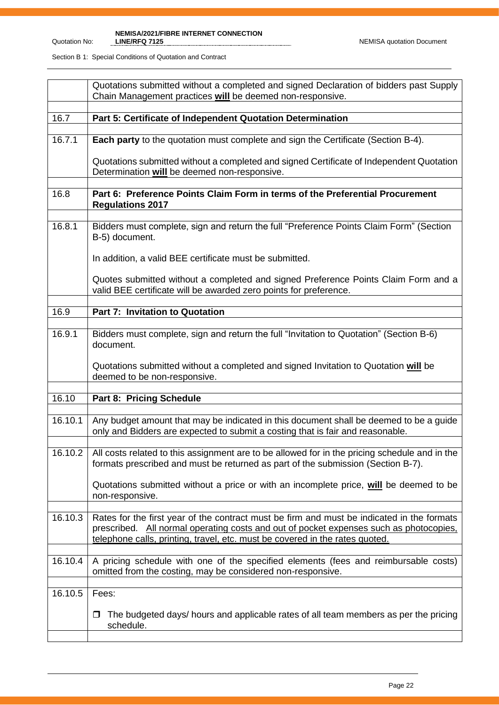#### Quotation No:

**NEMISA/2021/FIBRE INTERNET CONNECTION LINE/RFQ 7125** NEMISA quotation Document

|         | Quotations submitted without a completed and signed Declaration of bidders past Supply<br>Chain Management practices will be deemed non-responsive.                                                                                                                  |  |
|---------|----------------------------------------------------------------------------------------------------------------------------------------------------------------------------------------------------------------------------------------------------------------------|--|
| 16.7    | Part 5: Certificate of Independent Quotation Determination                                                                                                                                                                                                           |  |
| 16.7.1  | <b>Each party</b> to the quotation must complete and sign the Certificate (Section B-4).                                                                                                                                                                             |  |
|         | Quotations submitted without a completed and signed Certificate of Independent Quotation<br>Determination will be deemed non-responsive.                                                                                                                             |  |
| 16.8    | Part 6: Preference Points Claim Form in terms of the Preferential Procurement<br><b>Regulations 2017</b>                                                                                                                                                             |  |
| 16.8.1  | Bidders must complete, sign and return the full "Preference Points Claim Form" (Section<br>B-5) document.                                                                                                                                                            |  |
|         | In addition, a valid BEE certificate must be submitted.                                                                                                                                                                                                              |  |
|         | Quotes submitted without a completed and signed Preference Points Claim Form and a<br>valid BEE certificate will be awarded zero points for preference.                                                                                                              |  |
| 16.9    | <b>Part 7: Invitation to Quotation</b>                                                                                                                                                                                                                               |  |
|         |                                                                                                                                                                                                                                                                      |  |
| 16.9.1  | Bidders must complete, sign and return the full "Invitation to Quotation" (Section B-6)<br>document.                                                                                                                                                                 |  |
|         | Quotations submitted without a completed and signed Invitation to Quotation will be<br>deemed to be non-responsive.                                                                                                                                                  |  |
| 16.10   | Part 8: Pricing Schedule                                                                                                                                                                                                                                             |  |
|         |                                                                                                                                                                                                                                                                      |  |
| 16.10.1 | Any budget amount that may be indicated in this document shall be deemed to be a guide<br>only and Bidders are expected to submit a costing that is fair and reasonable.                                                                                             |  |
| 16.10.2 | All costs related to this assignment are to be allowed for in the pricing schedule and in the<br>formats prescribed and must be returned as part of the submission (Section B-7).                                                                                    |  |
|         | Quotations submitted without a price or with an incomplete price, will be deemed to be<br>non-responsive.                                                                                                                                                            |  |
| 16.10.3 | Rates for the first year of the contract must be firm and must be indicated in the formats<br>prescribed. All normal operating costs and out of pocket expenses such as photocopies,<br>telephone calls, printing, travel, etc. must be covered in the rates quoted. |  |
| 16.10.4 | A pricing schedule with one of the specified elements (fees and reimbursable costs)<br>omitted from the costing, may be considered non-responsive.                                                                                                                   |  |
| 16.10.5 | Fees:                                                                                                                                                                                                                                                                |  |
|         | The budgeted days/ hours and applicable rates of all team members as per the pricing<br>□<br>schedule.                                                                                                                                                               |  |
|         |                                                                                                                                                                                                                                                                      |  |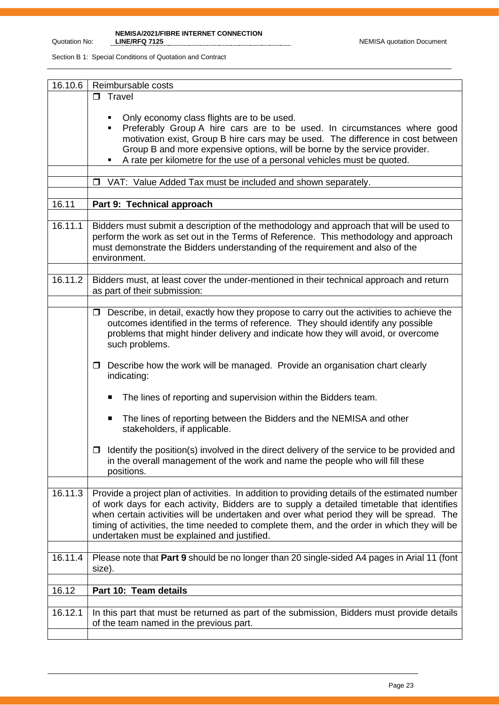**NEMISA/2021/FIBRE INTERNET CONNECTION** 

| 16.10.6 | Reimbursable costs                                                                                                                                                                                                                                                                                                                                                                                                                     |  |  |
|---------|----------------------------------------------------------------------------------------------------------------------------------------------------------------------------------------------------------------------------------------------------------------------------------------------------------------------------------------------------------------------------------------------------------------------------------------|--|--|
|         | $\Box$ Travel                                                                                                                                                                                                                                                                                                                                                                                                                          |  |  |
|         | Only economy class flights are to be used.<br>Preferably Group A hire cars are to be used. In circumstances where good<br>٠<br>motivation exist, Group B hire cars may be used. The difference in cost between<br>Group B and more expensive options, will be borne by the service provider.<br>A rate per kilometre for the use of a personal vehicles must be quoted.<br>$\Box$                                                      |  |  |
|         | VAT: Value Added Tax must be included and shown separately.                                                                                                                                                                                                                                                                                                                                                                            |  |  |
| 16.11   | Part 9: Technical approach                                                                                                                                                                                                                                                                                                                                                                                                             |  |  |
|         |                                                                                                                                                                                                                                                                                                                                                                                                                                        |  |  |
| 16.11.1 | Bidders must submit a description of the methodology and approach that will be used to<br>perform the work as set out in the Terms of Reference. This methodology and approach<br>must demonstrate the Bidders understanding of the requirement and also of the<br>environment.                                                                                                                                                        |  |  |
| 16.11.2 | Bidders must, at least cover the under-mentioned in their technical approach and return<br>as part of their submission:                                                                                                                                                                                                                                                                                                                |  |  |
|         |                                                                                                                                                                                                                                                                                                                                                                                                                                        |  |  |
|         | $\Box$ Describe, in detail, exactly how they propose to carry out the activities to achieve the<br>outcomes identified in the terms of reference. They should identify any possible<br>problems that might hinder delivery and indicate how they will avoid, or overcome<br>such problems.                                                                                                                                             |  |  |
|         | Describe how the work will be managed. Provide an organisation chart clearly<br>□<br>indicating:                                                                                                                                                                                                                                                                                                                                       |  |  |
|         | The lines of reporting and supervision within the Bidders team.<br>п                                                                                                                                                                                                                                                                                                                                                                   |  |  |
|         | The lines of reporting between the Bidders and the NEMISA and other<br>п<br>stakeholders, if applicable.                                                                                                                                                                                                                                                                                                                               |  |  |
|         | Identify the position(s) involved in the direct delivery of the service to be provided and<br>◻<br>in the overall management of the work and name the people who will fill these<br>positions.                                                                                                                                                                                                                                         |  |  |
| 16.11.3 | Provide a project plan of activities. In addition to providing details of the estimated number<br>of work days for each activity, Bidders are to supply a detailed timetable that identifies<br>when certain activities will be undertaken and over what period they will be spread. The<br>timing of activities, the time needed to complete them, and the order in which they will be<br>undertaken must be explained and justified. |  |  |
| 16.11.4 | Please note that Part 9 should be no longer than 20 single-sided A4 pages in Arial 11 (font<br>size).                                                                                                                                                                                                                                                                                                                                  |  |  |
|         |                                                                                                                                                                                                                                                                                                                                                                                                                                        |  |  |
| 16.12   | Part 10: Team details                                                                                                                                                                                                                                                                                                                                                                                                                  |  |  |
| 16.12.1 | In this part that must be returned as part of the submission, Bidders must provide details<br>of the team named in the previous part.                                                                                                                                                                                                                                                                                                  |  |  |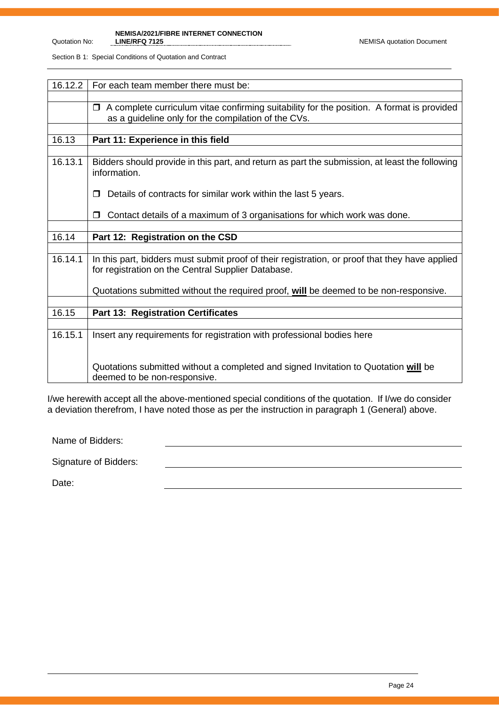**NEMISA/2021/FIBRE INTERNET CONNECTION** 

Section B 1: Special Conditions of Quotation and Contract

| 16.12.2 | For each team member there must be:                                                                                                                  |  |
|---------|------------------------------------------------------------------------------------------------------------------------------------------------------|--|
|         |                                                                                                                                                      |  |
|         | A complete curriculum vitae confirming suitability for the position. A format is provided<br>$\Box$                                                  |  |
|         | as a guideline only for the compilation of the CVs.                                                                                                  |  |
|         |                                                                                                                                                      |  |
| 16.13   | Part 11: Experience in this field                                                                                                                    |  |
|         |                                                                                                                                                      |  |
| 16.13.1 | Bidders should provide in this part, and return as part the submission, at least the following<br>information.                                       |  |
|         | Details of contracts for similar work within the last 5 years.                                                                                       |  |
|         | Contact details of a maximum of 3 organisations for which work was done.                                                                             |  |
|         |                                                                                                                                                      |  |
| 16.14   | Part 12: Registration on the CSD                                                                                                                     |  |
|         |                                                                                                                                                      |  |
| 16.14.1 | In this part, bidders must submit proof of their registration, or proof that they have applied<br>for registration on the Central Supplier Database. |  |
|         | Quotations submitted without the required proof, will be deemed to be non-responsive.                                                                |  |
|         |                                                                                                                                                      |  |
| 16.15   | <b>Part 13: Registration Certificates</b>                                                                                                            |  |
|         |                                                                                                                                                      |  |
| 16.15.1 | Insert any requirements for registration with professional bodies here                                                                               |  |
|         |                                                                                                                                                      |  |
|         | Quotations submitted without a completed and signed Invitation to Quotation will be<br>deemed to be non-responsive.                                  |  |

I/we herewith accept all the above-mentioned special conditions of the quotation. If I/we do consider a deviation therefrom, I have noted those as per the instruction in paragraph 1 (General) above.

Name of Bidders:

Signature of Bidders:

Date: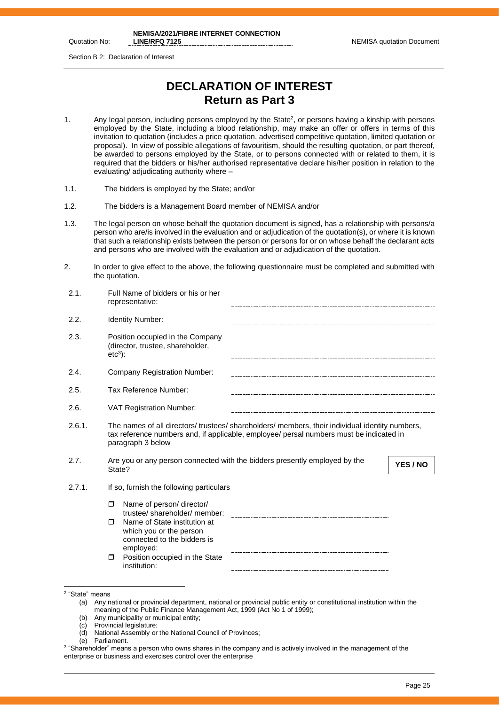Quotation No:

**NEMISA/2021/FIBRE INTERNET CONNECTION** 

Section B 2: Declaration of Interest

# **DECLARATION OF INTEREST Return as Part 3**

- 1. Any legal person, including persons employed by the State<sup>2</sup>, or persons having a kinship with persons employed by the State, including a blood relationship, may make an offer or offers in terms of this invitation to quotation (includes a price quotation, advertised competitive quotation, limited quotation or proposal). In view of possible allegations of favouritism, should the resulting quotation, or part thereof, be awarded to persons employed by the State, or to persons connected with or related to them, it is required that the bidders or his/her authorised representative declare his/her position in relation to the evaluating/ adjudicating authority where –
- 1.1. The bidders is employed by the State; and/or
- 1.2. The bidders is a Management Board member of NEMISA and/or
- 1.3. The legal person on whose behalf the quotation document is signed, has a relationship with persons/a person who are/is involved in the evaluation and or adjudication of the quotation(s), or where it is known that such a relationship exists between the person or persons for or on whose behalf the declarant acts and persons who are involved with the evaluation and or adjudication of the quotation.
- 2. In order to give effect to the above, the following questionnaire must be completed and submitted with the quotation.

| 2.1.   | Full Name of bidders or his or her<br>representative:                                                                                                                                                           |
|--------|-----------------------------------------------------------------------------------------------------------------------------------------------------------------------------------------------------------------|
| 2.2.   | <b>Identity Number:</b>                                                                                                                                                                                         |
| 2.3.   | Position occupied in the Company<br>(director, trustee, shareholder,<br>$etc3$ :                                                                                                                                |
| 2.4.   | <b>Company Registration Number:</b>                                                                                                                                                                             |
| 2.5.   | Tax Reference Number:                                                                                                                                                                                           |
| 2.6.   | <b>VAT Registration Number:</b>                                                                                                                                                                                 |
| 2.6.1. | The names of all directors/ trustees/ shareholders/ members, their individual identity numbers,<br>tax reference numbers and, if applicable, employee/ persal numbers must be indicated in<br>paragraph 3 below |
| 2.7.   | Are you or any person connected with the bidders presently employed by the<br>YES / NO<br>State?                                                                                                                |
| 2.7.1. | If so, furnish the following particulars                                                                                                                                                                        |
|        | Name of person/ director/<br>$\Box$<br>trustee/shareholder/member:                                                                                                                                              |
|        | Name of State institution at<br>$\Box$<br>which you or the person<br>connected to the bidders is                                                                                                                |
|        | employed:<br>Position occupied in the State<br>$\Box$<br>institution:                                                                                                                                           |
|        |                                                                                                                                                                                                                 |

- (c) Provincial legislature;
- (d) National Assembly or the National Council of Provinces;
- (e) Parliament.

<sup>2</sup> "State" means

<sup>(</sup>a) Any national or provincial department, national or provincial public entity or constitutional institution within the meaning of the Public Finance Management Act, 1999 (Act No 1 of 1999);

<sup>(</sup>b) Any municipality or municipal entity;

 $^3$  "Shareholder" means a person who owns shares in the company and is actively involved in the management of the enterprise or business and exercises control over the enterprise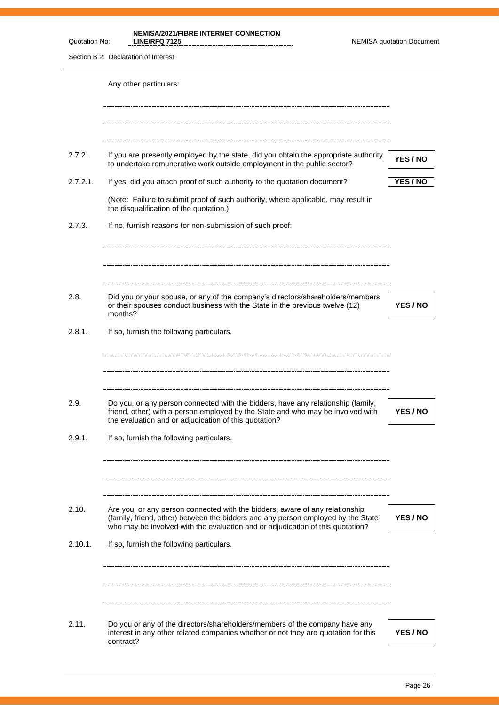| Quotation No: | <b>NEMISA/2021/FIBRE INTERNET CONNECTION</b><br><b>LINE/RFQ 7125</b>                                                                                                                                                                               | <b>NEMISA quotation Document</b> |
|---------------|----------------------------------------------------------------------------------------------------------------------------------------------------------------------------------------------------------------------------------------------------|----------------------------------|
|               | Section B 2: Declaration of Interest                                                                                                                                                                                                               |                                  |
|               | Any other particulars:                                                                                                                                                                                                                             |                                  |
| 2.7.2.        | If you are presently employed by the state, did you obtain the appropriate authority<br>to undertake remunerative work outside employment in the public sector?                                                                                    | YES / NO                         |
| 2.7.2.1.      | If yes, did you attach proof of such authority to the quotation document?                                                                                                                                                                          | YES / NO                         |
|               | (Note: Failure to submit proof of such authority, where applicable, may result in<br>the disqualification of the quotation.)                                                                                                                       |                                  |
| 2.7.3.        | If no, furnish reasons for non-submission of such proof:                                                                                                                                                                                           |                                  |
|               |                                                                                                                                                                                                                                                    |                                  |
| 2.8.          | Did you or your spouse, or any of the company's directors/shareholders/members<br>or their spouses conduct business with the State in the previous twelve (12)<br>months?                                                                          | YES / NO                         |
| 2.8.1.        | If so, furnish the following particulars.                                                                                                                                                                                                          |                                  |
| 2.9.          | Do you, or any person connected with the bidders, have any relationship (family,                                                                                                                                                                   |                                  |
|               | friend, other) with a person employed by the State and who may be involved with<br>the evaluation and or adjudication of this quotation?                                                                                                           | YES / NO                         |
| 2.9.1.        | If so, furnish the following particulars.                                                                                                                                                                                                          |                                  |
| 2.10.         | Are you, or any person connected with the bidders, aware of any relationship<br>(family, friend, other) between the bidders and any person employed by the State<br>who may be involved with the evaluation and or adjudication of this quotation? | YES / NO                         |
| 2.10.1.       | If so, furnish the following particulars.                                                                                                                                                                                                          |                                  |
|               |                                                                                                                                                                                                                                                    |                                  |
| 2.11.         | Do you or any of the directors/shareholders/members of the company have any<br>interest in any other related companies whether or not they are quotation for this<br>contract?                                                                     | YES / NO                         |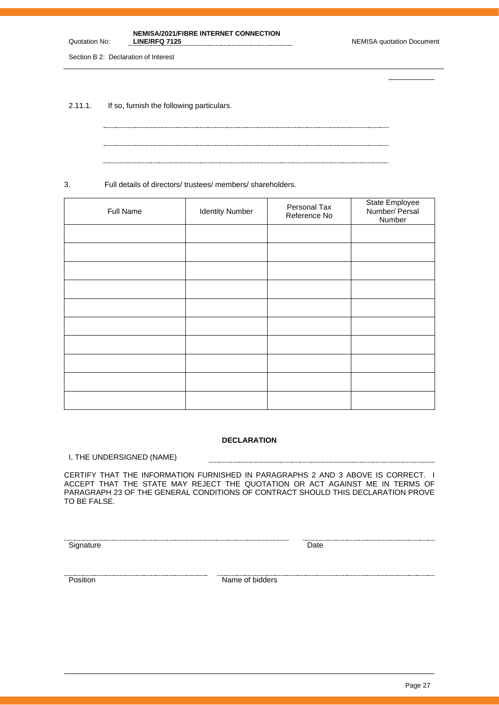# **NEMISA/2021/FIBRE INTERNET CONNECTION**

Section B 2: Declaration of Interest

Quotation No:

2.11.1. If so, furnish the following particulars.

3. Full details of directors/ trustees/ members/ shareholders.

| Full Name | <b>Identity Number</b> | Personal Tax<br>Reference No | State Employee<br>Number/ Persal<br>Number |
|-----------|------------------------|------------------------------|--------------------------------------------|
|           |                        |                              |                                            |
|           |                        |                              |                                            |
|           |                        |                              |                                            |
|           |                        |                              |                                            |
|           |                        |                              |                                            |
|           |                        |                              |                                            |
|           |                        |                              |                                            |
|           |                        |                              |                                            |
|           |                        |                              |                                            |
|           |                        |                              |                                            |

# **DECLARATION**

-----------------------

I, THE UNDERSIGNED (NAME)

CERTIFY THAT THE INFORMATION FURNISHED IN PARAGRAPHS 2 AND 3 ABOVE IS CORRECT. I ACCEPT THAT THE STATE MAY REJECT THE QUOTATION OR ACT AGAINST ME IN TERMS OF PARAGRAPH 23 OF THE GENERAL CONDITIONS OF CONTRACT SHOULD THIS DECLARATION PROVE TO BE FALSE.

Signature Date Date

Position **Name of bidders**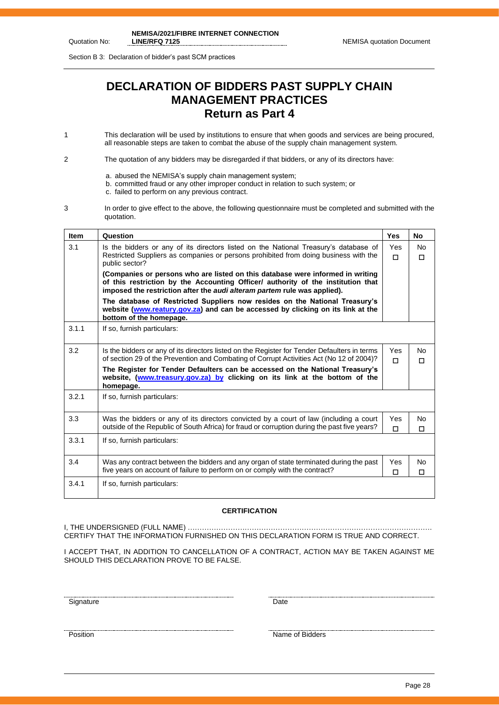Section B 3: Declaration of bidder's past SCM practices

# **DECLARATION OF BIDDERS PAST SUPPLY CHAIN MANAGEMENT PRACTICES Return as Part 4**

- 1 This declaration will be used by institutions to ensure that when goods and services are being procured, all reasonable steps are taken to combat the abuse of the supply chain management system.
- 2 The quotation of any bidders may be disregarded if that bidders, or any of its directors have:
	- a. abused the NEMISA's supply chain management system;
	- b. committed fraud or any other improper conduct in relation to such system; or
	- c. failed to perform on any previous contract.
- 3 In order to give effect to the above, the following questionnaire must be completed and submitted with the quotation.

| <b>Item</b> | Question                                                                                                                                                                                                                                       | Yes           | No                  |
|-------------|------------------------------------------------------------------------------------------------------------------------------------------------------------------------------------------------------------------------------------------------|---------------|---------------------|
| 3.1         | Is the bidders or any of its directors listed on the National Treasury's database of<br>Restricted Suppliers as companies or persons prohibited from doing business with the<br>public sector?                                                 | Yes<br>$\Box$ | <b>No</b><br>$\Box$ |
|             | (Companies or persons who are listed on this database were informed in writing<br>of this restriction by the Accounting Officer/ authority of the institution that<br>imposed the restriction after the audi alteram partem rule was applied). |               |                     |
|             | The database of Restricted Suppliers now resides on the National Treasury's<br>website (www.reatury.gov.za) and can be accessed by clicking on its link at the<br>bottom of the homepage.                                                      |               |                     |
| 3.1.1       | If so, furnish particulars:                                                                                                                                                                                                                    |               |                     |
| 3.2         | Is the bidders or any of its directors listed on the Register for Tender Defaulters in terms<br>of section 29 of the Prevention and Combating of Corrupt Activities Act (No 12 of 2004)?                                                       | Yes.<br>п     | <b>No</b><br>$\Box$ |
|             | The Register for Tender Defaulters can be accessed on the National Treasury's<br>website, (www.treasury.gov.za) by clicking on its link at the bottom of the<br>homepage.                                                                      |               |                     |
| 3.2.1       | If so, furnish particulars:                                                                                                                                                                                                                    |               |                     |
| 3.3         | Was the bidders or any of its directors convicted by a court of law (including a court<br>outside of the Republic of South Africa) for fraud or corruption during the past five years?                                                         | Yes<br>$\Box$ | No.<br>$\Box$       |
| 3.3.1       | If so, furnish particulars:                                                                                                                                                                                                                    |               |                     |
| 3.4         | Was any contract between the bidders and any organ of state terminated during the past<br>five years on account of failure to perform on or comply with the contract?                                                                          | Yes<br>□      | No<br>$\Box$        |
| 3.4.1       | If so, furnish particulars:                                                                                                                                                                                                                    |               |                     |

#### **CERTIFICATION**

I, THE UNDERSIGNED (FULL NAME) …………………………………………………………………………………………. CERTIFY THAT THE INFORMATION FURNISHED ON THIS DECLARATION FORM IS TRUE AND CORRECT.

I ACCEPT THAT, IN ADDITION TO CANCELLATION OF A CONTRACT, ACTION MAY BE TAKEN AGAINST ME SHOULD THIS DECLARATION PROVE TO BE FALSE.

<u>Signature Date</u>

<u>The contract of Bidders</u><br>Position Name of Bidders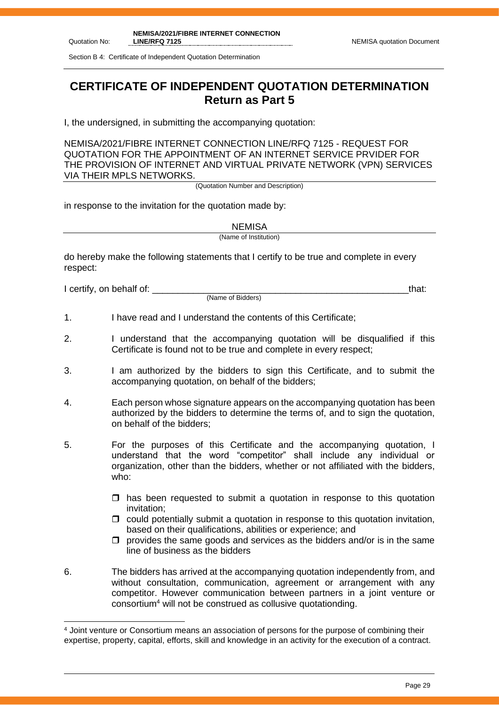Section B 4: Certificate of Independent Quotation Determination

# **CERTIFICATE OF INDEPENDENT QUOTATION DETERMINATION Return as Part 5**

I, the undersigned, in submitting the accompanying quotation:

NEMISA/2021/FIBRE INTERNET CONNECTION LINE/RFQ 7125 - REQUEST FOR QUOTATION FOR THE APPOINTMENT OF AN INTERNET SERVICE PRVIDER FOR THE PROVISION OF INTERNET AND VIRTUAL PRIVATE NETWORK (VPN) SERVICES VIA THEIR MPLS NETWORKS.

(Quotation Number and Description)

in response to the invitation for the quotation made by:

**NEMISA** 

(Name of Institution)

do hereby make the following statements that I certify to be true and complete in every respect:

I certify, on behalf of: the state of the state of the state of the state of the state of the state of the stat

(Name of Bidders)

- 1. I have read and I understand the contents of this Certificate;
- 2. I understand that the accompanying quotation will be disqualified if this Certificate is found not to be true and complete in every respect;
- 3. I am authorized by the bidders to sign this Certificate, and to submit the accompanying quotation, on behalf of the bidders;
- 4. Each person whose signature appears on the accompanying quotation has been authorized by the bidders to determine the terms of, and to sign the quotation, on behalf of the bidders;
- 5. For the purposes of this Certificate and the accompanying quotation, I understand that the word "competitor" shall include any individual or organization, other than the bidders, whether or not affiliated with the bidders, who:
	- $\Box$  has been requested to submit a quotation in response to this quotation invitation;
	- $\Box$  could potentially submit a quotation in response to this quotation invitation, based on their qualifications, abilities or experience; and
	- $\Box$  provides the same goods and services as the bidders and/or is in the same line of business as the bidders
- 6. The bidders has arrived at the accompanying quotation independently from, and without consultation, communication, agreement or arrangement with any competitor. However communication between partners in a joint venture or consortium<sup>4</sup> will not be construed as collusive quotationding.

<sup>4</sup> Joint venture or Consortium means an association of persons for the purpose of combining their expertise, property, capital, efforts, skill and knowledge in an activity for the execution of a contract.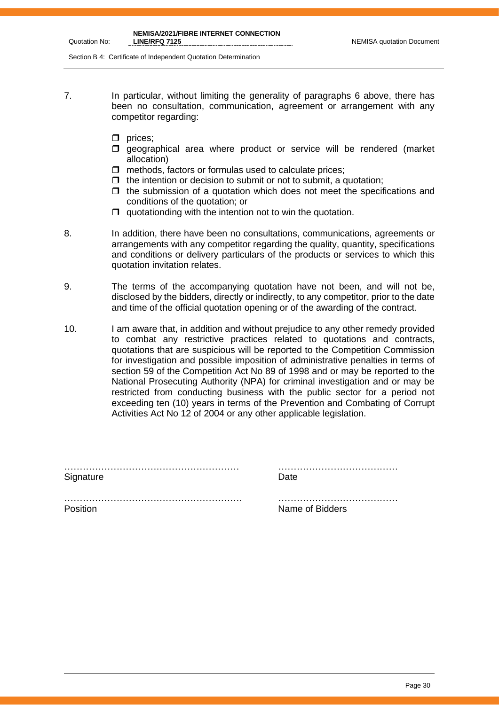Section B 4: Certificate of Independent Quotation Determination

- 7. In particular, without limiting the generality of paragraphs 6 above, there has been no consultation, communication, agreement or arrangement with any competitor regarding:
	- $\Box$  prices;
	- **I** geographical area where product or service will be rendered (market allocation)
	- $\Box$  methods, factors or formulas used to calculate prices;
	- $\Box$  the intention or decision to submit or not to submit, a quotation:
	- $\Box$  the submission of a quotation which does not meet the specifications and conditions of the quotation; or
	- $\Box$  quotationding with the intention not to win the quotation.
- 8. In addition, there have been no consultations, communications, agreements or arrangements with any competitor regarding the quality, quantity, specifications and conditions or delivery particulars of the products or services to which this quotation invitation relates.
- 9. The terms of the accompanying quotation have not been, and will not be, disclosed by the bidders, directly or indirectly, to any competitor, prior to the date and time of the official quotation opening or of the awarding of the contract.
- 10. I am aware that, in addition and without prejudice to any other remedy provided to combat any restrictive practices related to quotations and contracts, quotations that are suspicious will be reported to the Competition Commission for investigation and possible imposition of administrative penalties in terms of section 59 of the Competition Act No 89 of 1998 and or may be reported to the National Prosecuting Authority (NPA) for criminal investigation and or may be restricted from conducting business with the public sector for a period not exceeding ten (10) years in terms of the Prevention and Combating of Corrupt Activities Act No 12 of 2004 or any other applicable legislation.

|           | . |
|-----------|---|
| Signature |   |

………………………………………………… …………………………………

…………………………………………………. ………………………………… Position **Name of Bidders**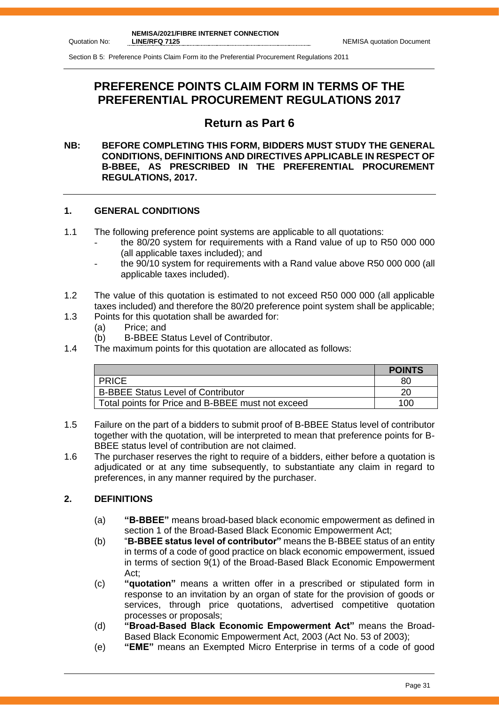Section B 5: Preference Points Claim Form ito the Preferential Procurement Regulations 2011

# **PREFERENCE POINTS CLAIM FORM IN TERMS OF THE PREFERENTIAL PROCUREMENT REGULATIONS 2017**

# **Return as Part 6**

#### **NB: BEFORE COMPLETING THIS FORM, BIDDERS MUST STUDY THE GENERAL CONDITIONS, DEFINITIONS AND DIRECTIVES APPLICABLE IN RESPECT OF B-BBEE, AS PRESCRIBED IN THE PREFERENTIAL PROCUREMENT REGULATIONS, 2017.**

#### **1. GENERAL CONDITIONS**

- 1.1 The following preference point systems are applicable to all quotations:
	- the 80/20 system for requirements with a Rand value of up to R50 000 000 (all applicable taxes included); and
	- the 90/10 system for requirements with a Rand value above R50 000 000 (all applicable taxes included).
- 1.2 The value of this quotation is estimated to not exceed R50 000 000 (all applicable taxes included) and therefore the 80/20 preference point system shall be applicable;
- 1.3 Points for this quotation shall be awarded for:
	- (a) Price; and
	- (b) B-BBEE Status Level of Contributor.
- 1.4 The maximum points for this quotation are allocated as follows:

|                                                   | <b>POINTS</b> |
|---------------------------------------------------|---------------|
| <b>PRICE</b>                                      | 80            |
| <b>B-BBEE Status Level of Contributor</b>         | 20            |
| Total points for Price and B-BBEE must not exceed | 100           |

- 1.5 Failure on the part of a bidders to submit proof of B-BBEE Status level of contributor together with the quotation, will be interpreted to mean that preference points for B-BBEE status level of contribution are not claimed.
- 1.6 The purchaser reserves the right to require of a bidders, either before a quotation is adjudicated or at any time subsequently, to substantiate any claim in regard to preferences, in any manner required by the purchaser.

## **2. DEFINITIONS**

- (a) **"B-BBEE"** means broad-based black economic empowerment as defined in section 1 of the Broad-Based Black Economic Empowerment Act;
- (b) "**B-BBEE status level of contributor"** means the B-BBEE status of an entity in terms of a code of good practice on black economic empowerment, issued in terms of section 9(1) of the Broad-Based Black Economic Empowerment Act;
- (c) **"quotation"** means a written offer in a prescribed or stipulated form in response to an invitation by an organ of state for the provision of goods or services, through price quotations, advertised competitive quotation processes or proposals;
- (d) **"Broad-Based Black Economic Empowerment Act"** means the Broad-Based Black Economic Empowerment Act, 2003 (Act No. 53 of 2003);
- (e) **"EME"** means an Exempted Micro Enterprise in terms of a code of good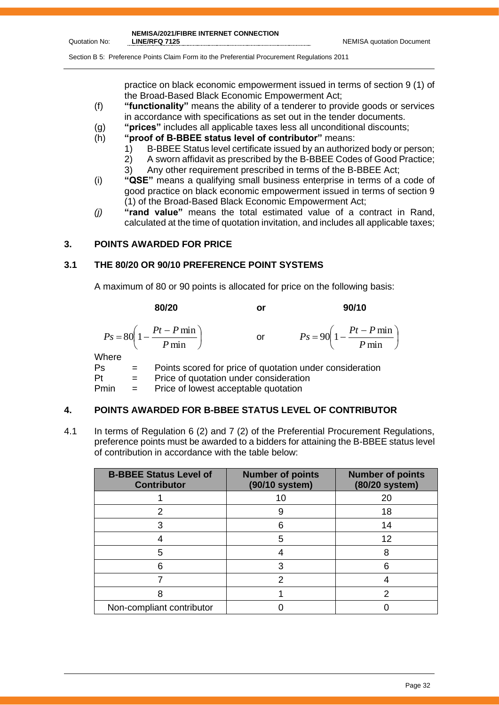J  $\big)$ 

Section B 5: Preference Points Claim Form ito the Preferential Procurement Regulations 2011

practice on black economic empowerment issued in terms of section 9 (1) of the Broad-Based Black Economic Empowerment Act;

- (f) **"functionality"** means the ability of a tenderer to provide goods or services in accordance with specifications as set out in the tender documents.
- (g) **"prices"** includes all applicable taxes less all unconditional discounts;
- (h) **"proof of B-BBEE status level of contributor"** means:
	- 1) B-BBEE Status level certificate issued by an authorized body or person;
	- 2) A sworn affidavit as prescribed by the B-BBEE Codes of Good Practice;
	- 3) Any other requirement prescribed in terms of the B-BBEE Act;
- (i) **"QSE"** means a qualifying small business enterprise in terms of a code of good practice on black economic empowerment issued in terms of section 9 (1) of the Broad-Based Black Economic Empowerment Act;
- *(j)* **"rand value"** means the total estimated value of a contract in Rand, calculated at the time of quotation invitation, and includes all applicable taxes;

#### **3. POINTS AWARDED FOR PRICE**

## **3.1 THE 80/20 OR 90/10 PREFERENCE POINT SYSTEMS**

A maximum of 80 or 90 points is allocated for price on the following basis:

**80/20 or 90/10**  $\overline{\phantom{a}}$ J  $\left(1-\frac{Pt-P\min}{R}\right)$  $\setminus$  $=80\left(1-\frac{Pt-}{\right)$ min  $80\left(1-\frac{Pt-P\min}{\sum_{i=1}^{n}H_i}\right)$ *P*  $P_s = 80 \left( 1 - \frac{Pt - P}{r} \right)$ or  $\left(1-\frac{Pt-P\min}{R}\right)$  $\setminus$  $= 90 \left( 1 - \frac{Pt - F}{T}\right)$ min  $90\left(1-\frac{Pt-P\min}{\sum_{i=1}^{n}H_i}\right)$ *P*  $P_s = 90 \left( 1 - \frac{Pt - P}{r} \right)$ **Where** Ps = Points scored for price of quotation under consideration

Pt = Price of quotation under consideration

Pmin = Price of lowest acceptable quotation

## **4. POINTS AWARDED FOR B-BBEE STATUS LEVEL OF CONTRIBUTOR**

4.1 In terms of Regulation 6 (2) and 7 (2) of the Preferential Procurement Regulations, preference points must be awarded to a bidders for attaining the B-BBEE status level of contribution in accordance with the table below:

| <b>B-BBEE Status Level of</b><br><b>Contributor</b> | <b>Number of points</b><br>(90/10 system) | <b>Number of points</b><br>(80/20 system) |
|-----------------------------------------------------|-------------------------------------------|-------------------------------------------|
|                                                     | 10                                        | 20                                        |
| 2                                                   | 9                                         | 18                                        |
|                                                     | 6                                         | 14                                        |
|                                                     | 5                                         | 12                                        |
| 5                                                   |                                           |                                           |
| հ                                                   | 3                                         | հ                                         |
|                                                     |                                           |                                           |
|                                                     |                                           |                                           |
| Non-compliant contributor                           |                                           |                                           |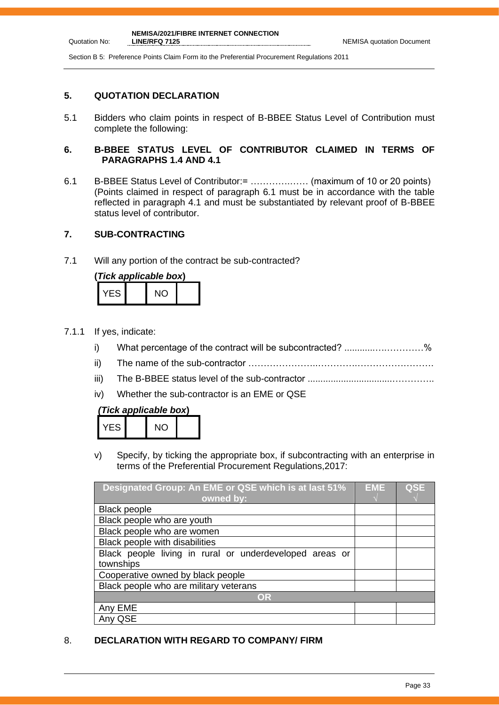Section B 5: Preference Points Claim Form ito the Preferential Procurement Regulations 2011

#### **5. QUOTATION DECLARATION**

Quotation No:

5.1 Bidders who claim points in respect of B-BBEE Status Level of Contribution must complete the following:

#### **6. B-BBEE STATUS LEVEL OF CONTRIBUTOR CLAIMED IN TERMS OF PARAGRAPHS 1.4 AND 4.1**

6.1 B-BBEE Status Level of Contributor:= ………….…… (maximum of 10 or 20 points) (Points claimed in respect of paragraph 6.1 must be in accordance with the table reflected in paragraph 4.1 and must be substantiated by relevant proof of B-BBEE status level of contributor.

## **7. SUB-CONTRACTING**

7.1 Will any portion of the contract be sub-contracted?

|       | (Tick applicable box) |  |
|-------|-----------------------|--|
| YES I | NΟ                    |  |

- 7.1.1 If yes, indicate:
	- i) What percentage of the contract will be subcontracted? ............….…………%
	- ii) The name of the sub-contractor …………………..………….…………………….
	- iii) The B-BBEE status level of the sub-contractor .................................…………..
	- iv) Whether the sub-contractor is an EME or QSE

## *(Tick applicable box***)**

| FS. | <b>NO</b> |  |
|-----|-----------|--|
|     |           |  |

v) Specify, by ticking the appropriate box, if subcontracting with an enterprise in terms of the Preferential Procurement Regulations,2017:

| Designated Group: An EME or QSE which is at last 51%    | EME | <b>QSE</b> |
|---------------------------------------------------------|-----|------------|
| owned by:                                               |     |            |
| <b>Black people</b>                                     |     |            |
| Black people who are youth                              |     |            |
| Black people who are women                              |     |            |
| Black people with disabilities                          |     |            |
| Black people living in rural or underdeveloped areas or |     |            |
| townships                                               |     |            |
| Cooperative owned by black people                       |     |            |
| Black people who are military veterans                  |     |            |
| OR                                                      |     |            |
| Any EME                                                 |     |            |
| Any QSE                                                 |     |            |

## 8. **DECLARATION WITH REGARD TO COMPANY/ FIRM**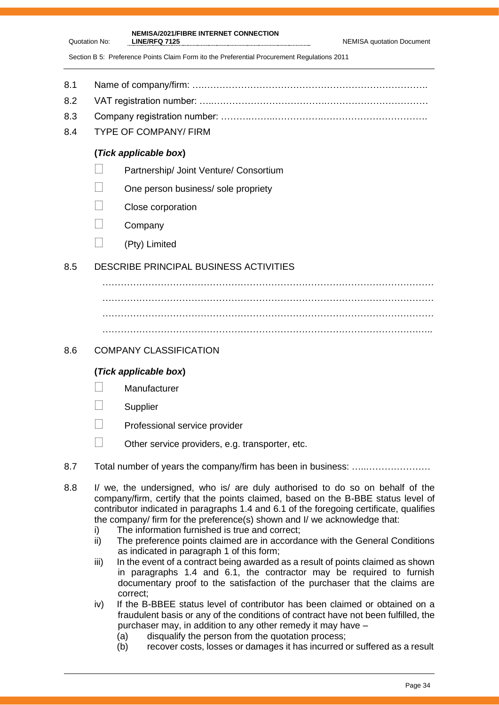**LINE/RFQ 7125** NEMISA quotation Document

**NEMISA/2021/FIBRE INTERNET CONNECTION** 

Section B 5: Preference Points Claim Form ito the Preferential Procurement Regulations 2011

- 8.1 Name of company/firm: ….……………………………………………………………….
- 8.2 VAT registration number: …..……………………………….……………………………
- 8.3 Company registration number: ……….……..…………….…………………………….
- 8.4 TYPE OF COMPANY/ FIRM

Quotation No:

## **(***Tick applicable box***)**

- **Partnership/ Joint Venture/ Consortium**
- $\Box$  One person business/ sole propriety
- Close corporation
- $\Box$  Company
- $\Box$  (Pty) Limited

# 8.5 DESCRIBE PRINCIPAL BUSINESS ACTIVITIES

……………………………………………………………………………………………… ………………………………………………………………………………………………

## 8.6 COMPANY CLASSIFICATION

# **(***Tick applicable box***)**

- **Manufacturer**
- **Supplier**
- **Professional service provider**
- $\Box$  Other service providers, e.g. transporter, etc.
- 8.7 Total number of years the company/firm has been in business: ………………………
- 8.8 I/ we, the undersigned, who is/ are duly authorised to do so on behalf of the company/firm, certify that the points claimed, based on the B-BBE status level of contributor indicated in paragraphs 1.4 and 6.1 of the foregoing certificate, qualifies the company/ firm for the preference(s) shown and I/ we acknowledge that:
	- i) The information furnished is true and correct;
	- ii) The preference points claimed are in accordance with the General Conditions as indicated in paragraph 1 of this form;
	- iii) In the event of a contract being awarded as a result of points claimed as shown in paragraphs 1.4 and 6.1, the contractor may be required to furnish documentary proof to the satisfaction of the purchaser that the claims are correct;
	- iv) If the B-BBEE status level of contributor has been claimed or obtained on a fraudulent basis or any of the conditions of contract have not been fulfilled, the purchaser may, in addition to any other remedy it may have –
		- (a) disqualify the person from the quotation process;
		- (b) recover costs, losses or damages it has incurred or suffered as a result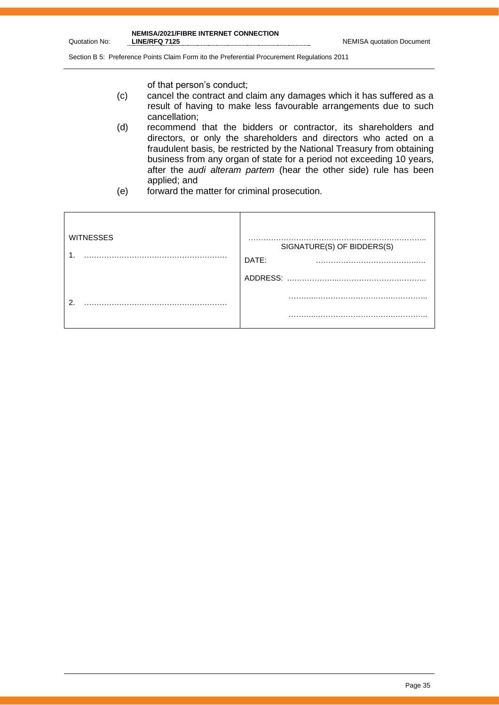Quotation No:

Section B 5: Preference Points Claim Form ito the Preferential Procurement Regulations 2011

of that person's conduct;

- (c) cancel the contract and claim any damages which it has suffered as a result of having to make less favourable arrangements due to such cancellation;
- (d) recommend that the bidders or contractor, its shareholders and directors, or only the shareholders and directors who acted on a fraudulent basis, be restricted by the National Treasury from obtaining business from any organ of state for a period not exceeding 10 years, after the *audi alteram partem* (hear the other side) rule has been applied; and
- (e) forward the matter for criminal prosecution.

| <b>WITNESSES</b> | SIGNATURE(S) OF BIDDERS(S)<br>DATE: |
|------------------|-------------------------------------|
|                  | ADDRESS:                            |
| ົ                |                                     |
|                  | .                                   |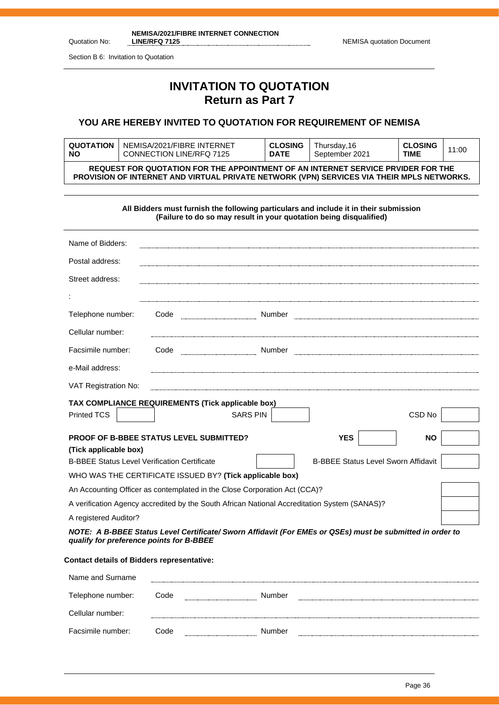**NEMISA/2021/FIBRE INTERNET CONNECTION**  LINE/RFQ 7125 **NEMISA** quotation Document

Section B 6: Invitation to Quotation

Quotation No:

# **INVITATION TO QUOTATION Return as Part 7**

## **YOU ARE HEREBY INVITED TO QUOTATION FOR REQUIREMENT OF NEMISA**

| <b>QUOTATION</b>                                                                                                                                                                     | NEMISA/2021/FIBRE INTERNET | <b>CLOSING</b> | Thursday,16    | <b>CLOSING</b> | 11:00 |
|--------------------------------------------------------------------------------------------------------------------------------------------------------------------------------------|----------------------------|----------------|----------------|----------------|-------|
| <b>NO</b>                                                                                                                                                                            | CONNECTION LINE/RFQ 7125   | <b>DATE</b>    | September 2021 | TIME           |       |
| REQUEST FOR QUOTATION FOR THE APPOINTMENT OF AN INTERNET SERVICE PRVIDER FOR THE<br><b>PROVISION OF INTERNET AND VIRTUAL PRIVATE NETWORK (VPN) SERVICES VIA THEIR MPLS NETWORKS.</b> |                            |                |                |                |       |

|                                                                                                                                                       |      |                 |  | All Bidders must furnish the following particulars and include it in their submission<br>(Failure to do so may result in your quotation being disqualified) |                                            |  |
|-------------------------------------------------------------------------------------------------------------------------------------------------------|------|-----------------|--|-------------------------------------------------------------------------------------------------------------------------------------------------------------|--------------------------------------------|--|
| Name of Bidders:                                                                                                                                      |      |                 |  |                                                                                                                                                             |                                            |  |
| Postal address:                                                                                                                                       |      |                 |  |                                                                                                                                                             |                                            |  |
| Street address:                                                                                                                                       |      |                 |  |                                                                                                                                                             |                                            |  |
|                                                                                                                                                       |      |                 |  |                                                                                                                                                             |                                            |  |
| Telephone number:                                                                                                                                     | Code |                 |  |                                                                                                                                                             |                                            |  |
| Cellular number:                                                                                                                                      |      |                 |  |                                                                                                                                                             |                                            |  |
| Facsimile number:                                                                                                                                     |      |                 |  |                                                                                                                                                             |                                            |  |
| e-Mail address:                                                                                                                                       |      |                 |  |                                                                                                                                                             |                                            |  |
| VAT Registration No:                                                                                                                                  |      |                 |  |                                                                                                                                                             |                                            |  |
| TAX COMPLIANCE REQUIREMENTS (Tick applicable box)                                                                                                     |      |                 |  |                                                                                                                                                             |                                            |  |
| Printed TCS                                                                                                                                           |      | <b>SARS PIN</b> |  |                                                                                                                                                             | CSD No                                     |  |
| PROOF OF B-BBEE STATUS LEVEL SUBMITTED?<br><b>YES</b><br><b>NO</b>                                                                                    |      |                 |  |                                                                                                                                                             |                                            |  |
| (Tick applicable box)                                                                                                                                 |      |                 |  |                                                                                                                                                             |                                            |  |
| <b>B-BBEE Status Level Verification Certificate</b>                                                                                                   |      |                 |  |                                                                                                                                                             | <b>B-BBEE Status Level Sworn Affidavit</b> |  |
| WHO WAS THE CERTIFICATE ISSUED BY? (Tick applicable box)                                                                                              |      |                 |  |                                                                                                                                                             |                                            |  |
| An Accounting Officer as contemplated in the Close Corporation Act (CCA)?                                                                             |      |                 |  |                                                                                                                                                             |                                            |  |
| A verification Agency accredited by the South African National Accreditation System (SANAS)?                                                          |      |                 |  |                                                                                                                                                             |                                            |  |
| A registered Auditor?                                                                                                                                 |      |                 |  |                                                                                                                                                             |                                            |  |
| NOTE: A B-BBEE Status Level Certificate/ Sworn Affidavit (For EMEs or QSEs) must be submitted in order to<br>qualify for preference points for B-BBEE |      |                 |  |                                                                                                                                                             |                                            |  |
| <b>Contact details of Bidders representative:</b>                                                                                                     |      |                 |  |                                                                                                                                                             |                                            |  |
| Name and Surname                                                                                                                                      |      |                 |  |                                                                                                                                                             |                                            |  |

| Telephone number: | Code | Number |  |
|-------------------|------|--------|--|
| Cellular number:  |      |        |  |
| Facsimile number: | Code | Number |  |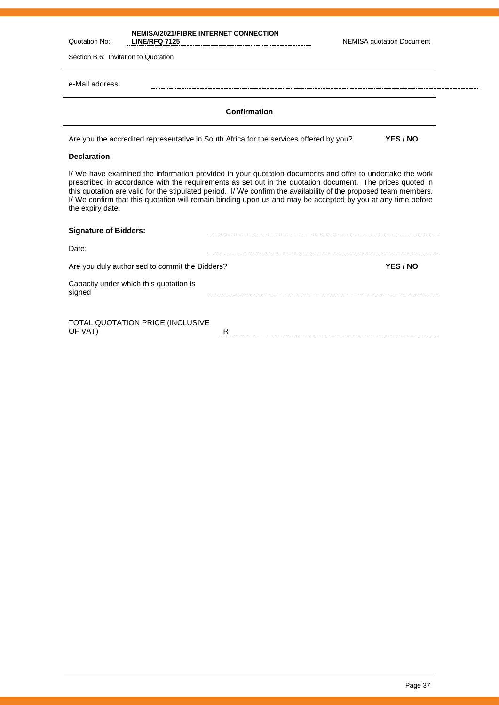| Quotation No:                        | <b>NEMISA/2021/FIBRE INTERNET CONNECTION</b><br><b>LINE/RFQ 7125</b>                                                                                                                                                                                                                                                                                                                                                                                     | <b>NEMISA quotation Document</b> |
|--------------------------------------|----------------------------------------------------------------------------------------------------------------------------------------------------------------------------------------------------------------------------------------------------------------------------------------------------------------------------------------------------------------------------------------------------------------------------------------------------------|----------------------------------|
| Section B 6: Invitation to Quotation |                                                                                                                                                                                                                                                                                                                                                                                                                                                          |                                  |
| e-Mail address:                      |                                                                                                                                                                                                                                                                                                                                                                                                                                                          |                                  |
|                                      | Confirmation                                                                                                                                                                                                                                                                                                                                                                                                                                             |                                  |
|                                      | Are you the accredited representative in South Africa for the services offered by you?                                                                                                                                                                                                                                                                                                                                                                   | YES / NO                         |
| <b>Declaration</b>                   |                                                                                                                                                                                                                                                                                                                                                                                                                                                          |                                  |
| the expiry date.                     | I/ We have examined the information provided in your quotation documents and offer to undertake the work<br>prescribed in accordance with the requirements as set out in the quotation document. The prices quoted in<br>this quotation are valid for the stipulated period. I/ We confirm the availability of the proposed team members.<br>I/ We confirm that this quotation will remain binding upon us and may be accepted by you at any time before |                                  |
| <b>Signature of Bidders:</b>         |                                                                                                                                                                                                                                                                                                                                                                                                                                                          |                                  |
| Date:                                |                                                                                                                                                                                                                                                                                                                                                                                                                                                          |                                  |
|                                      | Are you duly authorised to commit the Bidders?                                                                                                                                                                                                                                                                                                                                                                                                           | YES / NO                         |
| signed                               | Capacity under which this quotation is                                                                                                                                                                                                                                                                                                                                                                                                                   |                                  |
|                                      | TOTAL QUOTATION PRICE (INCLUSIVE                                                                                                                                                                                                                                                                                                                                                                                                                         |                                  |

OF VAT) RESERVED TO A RESERVED TO A RESERVED TO A RESERVED TO A RESERVED TO A RESERVED TO A RESERVED TO A RESERVED TO A RESERVED TO A RESERVED TO A RESERVED TO A RESERVED TO A RESERVED TO A RESERVED TO A RESERVED TO A RESE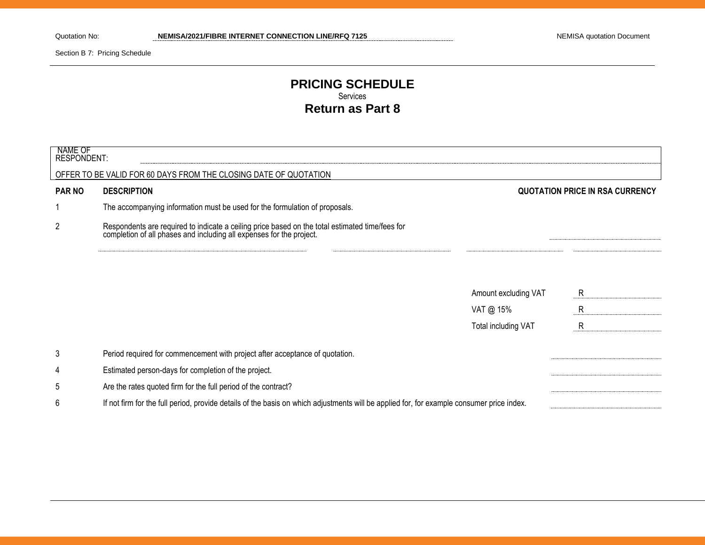Section B 7: Pricing Schedule

# **PRICING SCHEDULE** Services **Return as Part 8**

| NAME OF<br>RESPONDENT: |                                                                                                                                                                      |                      |                                 |
|------------------------|----------------------------------------------------------------------------------------------------------------------------------------------------------------------|----------------------|---------------------------------|
|                        | OFFER TO BE VALID FOR 60 DAYS FROM THE CLOSING DATE OF QUOTATION                                                                                                     |                      |                                 |
| <b>PAR NO</b>          | <b>DESCRIPTION</b>                                                                                                                                                   |                      | QUOTATION PRICE IN RSA CURRENCY |
|                        | The accompanying information must be used for the formulation of proposals.                                                                                          |                      |                                 |
| $\overline{2}$         | Respondents are required to indicate a ceiling price based on the total estimated time/fees for completion of all phases and including all expenses for the project. |                      |                                 |
|                        |                                                                                                                                                                      |                      |                                 |
|                        |                                                                                                                                                                      | Amount excluding VAT | R                               |
|                        |                                                                                                                                                                      | VAT @ 15%            | R                               |
|                        |                                                                                                                                                                      | Total including VAT  | $\mathsf{R}$                    |
| 3                      | Period required for commencement with project after acceptance of quotation.                                                                                         |                      |                                 |
| 4                      | Estimated person-days for completion of the project.                                                                                                                 |                      |                                 |
| 5                      | Are the rates quoted firm for the full period of the contract?                                                                                                       |                      |                                 |
| 6                      | If not firm for the full period, provide details of the basis on which adjustments will be applied for, for example consumer price index.                            |                      |                                 |